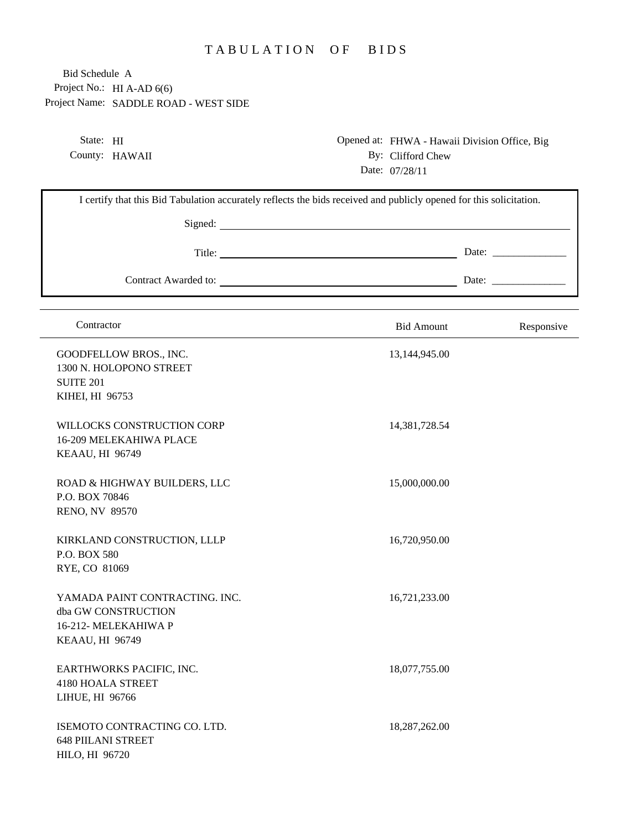## TABULATION OF BIDS

Project No.: HI A-AD 6(6) Project Name: SADDLE ROAD - WEST SIDE Bid Schedule A

> State: HI County: HAWAII

Opened at: FHWA - Hawaii Division Office, Big By: Clifford Chew Date: 07/28/11

| I certify that this Bid Tabulation accurately reflects the bids received and publicly opened for this solicitation. |                   |                                                          |
|---------------------------------------------------------------------------------------------------------------------|-------------------|----------------------------------------------------------|
|                                                                                                                     |                   |                                                          |
|                                                                                                                     |                   | Date: $\frac{1}{\sqrt{1-\frac{1}{2}} \cdot \frac{1}{2}}$ |
|                                                                                                                     |                   |                                                          |
| Contractor                                                                                                          | <b>Bid Amount</b> | Responsive                                               |
| GOODFELLOW BROS., INC.<br>1300 N. HOLOPONO STREET<br><b>SUITE 201</b><br>KIHEI, HI 96753                            | 13,144,945.00     |                                                          |
| WILLOCKS CONSTRUCTION CORP<br>16-209 MELEKAHIWA PLACE<br>KEAAU, HI 96749                                            | 14,381,728.54     |                                                          |
| ROAD & HIGHWAY BUILDERS, LLC<br>P.O. BOX 70846<br><b>RENO, NV 89570</b>                                             | 15,000,000.00     |                                                          |
| KIRKLAND CONSTRUCTION, LLLP<br>P.O. BOX 580<br>RYE, CO 81069                                                        | 16,720,950.00     |                                                          |
| YAMADA PAINT CONTRACTING. INC.<br>dba GW CONSTRUCTION<br>16-212- MELEKAHIWA P<br>KEAAU, HI 96749                    | 16,721,233.00     |                                                          |
| EARTHWORKS PACIFIC, INC.<br><b>4180 HOALA STREET</b><br>LIHUE, HI 96766                                             | 18,077,755.00     |                                                          |
| ISEMOTO CONTRACTING CO. LTD.<br><b>648 PIILANI STREET</b><br>HILO, HI 96720                                         | 18,287,262.00     |                                                          |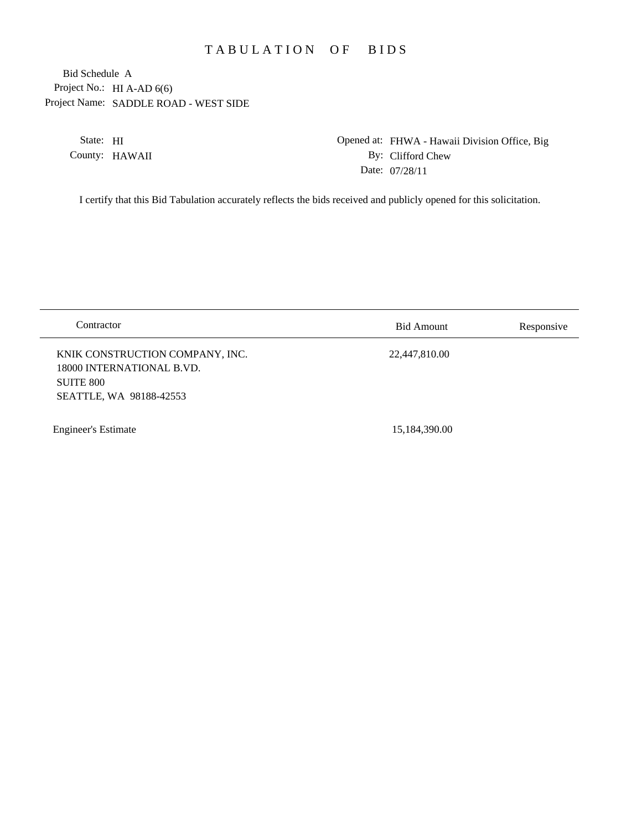## TABULATION OF BIDS

Project No.: HI A-AD 6(6) Project Name: SADDLE ROAD - WEST SIDE Bid Schedule A

> State: HI County: HAWAII

Opened at: FHWA - Hawaii Division Office, Big By: Clifford Chew Date: 07/28/11

I certify that this Bid Tabulation accurately reflects the bids received and publicly opened for this solicitation.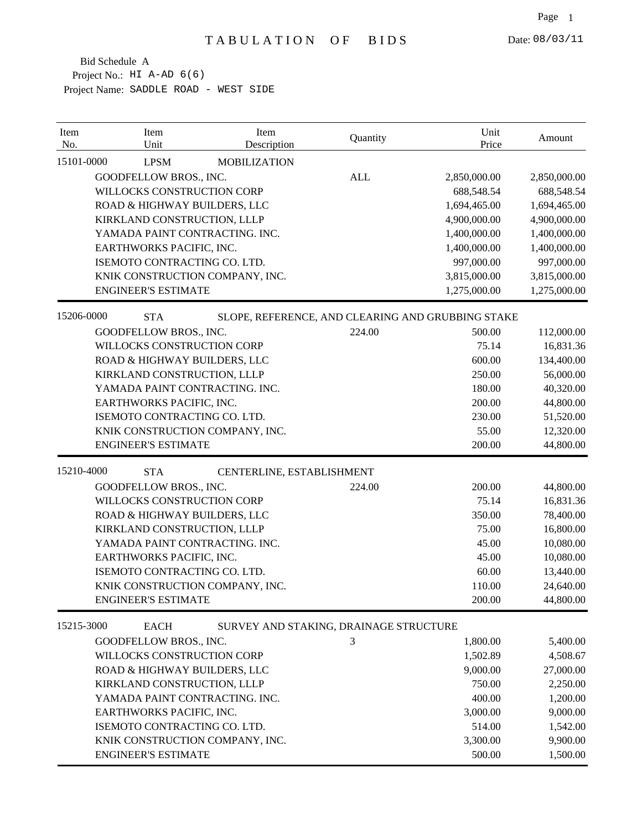| Item<br>No. | Item<br>Unit                    | Item<br>Description                    | Quantity   | Unit<br>Price                                     | Amount       |
|-------------|---------------------------------|----------------------------------------|------------|---------------------------------------------------|--------------|
| 15101-0000  | <b>LPSM</b>                     | <b>MOBILIZATION</b>                    |            |                                                   |              |
|             | GOODFELLOW BROS., INC.          |                                        | <b>ALL</b> | 2,850,000.00                                      | 2,850,000.00 |
|             | WILLOCKS CONSTRUCTION CORP      |                                        |            | 688,548.54                                        | 688,548.54   |
|             | ROAD & HIGHWAY BUILDERS, LLC    |                                        |            | 1,694,465.00                                      | 1,694,465.00 |
|             | KIRKLAND CONSTRUCTION, LLLP     |                                        |            | 4,900,000.00                                      | 4,900,000.00 |
|             | YAMADA PAINT CONTRACTING. INC.  |                                        |            | 1,400,000.00                                      | 1,400,000.00 |
|             | EARTHWORKS PACIFIC, INC.        |                                        |            | 1,400,000.00                                      | 1,400,000.00 |
|             | ISEMOTO CONTRACTING CO. LTD.    |                                        |            | 997,000.00                                        | 997,000.00   |
|             | KNIK CONSTRUCTION COMPANY, INC. |                                        |            | 3,815,000.00                                      | 3,815,000.00 |
|             | <b>ENGINEER'S ESTIMATE</b>      |                                        |            | 1,275,000.00                                      | 1,275,000.00 |
| 15206-0000  | <b>STA</b>                      |                                        |            | SLOPE, REFERENCE, AND CLEARING AND GRUBBING STAKE |              |
|             | GOODFELLOW BROS., INC.          |                                        | 224.00     | 500.00                                            | 112,000.00   |
|             | WILLOCKS CONSTRUCTION CORP      |                                        |            | 75.14                                             | 16,831.36    |
|             | ROAD & HIGHWAY BUILDERS, LLC    |                                        |            | 600.00                                            | 134,400.00   |
|             | KIRKLAND CONSTRUCTION, LLLP     |                                        |            | 250.00                                            | 56,000.00    |
|             | YAMADA PAINT CONTRACTING. INC.  |                                        |            | 180.00                                            | 40,320.00    |
|             | EARTHWORKS PACIFIC, INC.        |                                        |            | 200.00                                            | 44,800.00    |
|             | ISEMOTO CONTRACTING CO. LTD.    |                                        |            | 230.00                                            | 51,520.00    |
|             | KNIK CONSTRUCTION COMPANY, INC. |                                        |            | 55.00                                             | 12,320.00    |
|             | <b>ENGINEER'S ESTIMATE</b>      |                                        |            | 200.00                                            | 44,800.00    |
| 15210-4000  | <b>STA</b>                      | CENTERLINE, ESTABLISHMENT              |            |                                                   |              |
|             | GOODFELLOW BROS., INC.          |                                        | 224.00     | 200.00                                            | 44,800.00    |
|             | WILLOCKS CONSTRUCTION CORP      |                                        |            | 75.14                                             | 16,831.36    |
|             | ROAD & HIGHWAY BUILDERS, LLC    |                                        |            | 350.00                                            | 78,400.00    |
|             | KIRKLAND CONSTRUCTION, LLLP     |                                        |            | 75.00                                             | 16,800.00    |
|             | YAMADA PAINT CONTRACTING. INC.  |                                        |            | 45.00                                             | 10,080.00    |
|             | EARTHWORKS PACIFIC, INC.        |                                        |            | 45.00                                             | 10,080.00    |
|             | ISEMOTO CONTRACTING CO. LTD.    |                                        |            | 60.00                                             | 13,440.00    |
|             | KNIK CONSTRUCTION COMPANY, INC. |                                        |            | 110.00                                            | 24,640.00    |
|             | <b>ENGINEER'S ESTIMATE</b>      |                                        |            | 200.00                                            | 44,800.00    |
| 15215-3000  | <b>EACH</b>                     | SURVEY AND STAKING, DRAINAGE STRUCTURE |            |                                                   |              |
|             | GOODFELLOW BROS., INC.          |                                        | 3          | 1,800.00                                          | 5,400.00     |
|             | WILLOCKS CONSTRUCTION CORP      |                                        |            | 1,502.89                                          | 4,508.67     |
|             | ROAD & HIGHWAY BUILDERS, LLC    |                                        |            | 9,000.00                                          | 27,000.00    |
|             | KIRKLAND CONSTRUCTION, LLLP     |                                        |            | 750.00                                            | 2,250.00     |
|             | YAMADA PAINT CONTRACTING. INC.  |                                        |            | 400.00                                            | 1,200.00     |
|             | EARTHWORKS PACIFIC, INC.        |                                        |            | 3,000.00                                          | 9,000.00     |
|             | ISEMOTO CONTRACTING CO. LTD.    |                                        |            | 514.00                                            | 1,542.00     |
|             | KNIK CONSTRUCTION COMPANY, INC. |                                        |            | 3,300.00                                          | 9,900.00     |
|             | <b>ENGINEER'S ESTIMATE</b>      |                                        |            | 500.00                                            | 1,500.00     |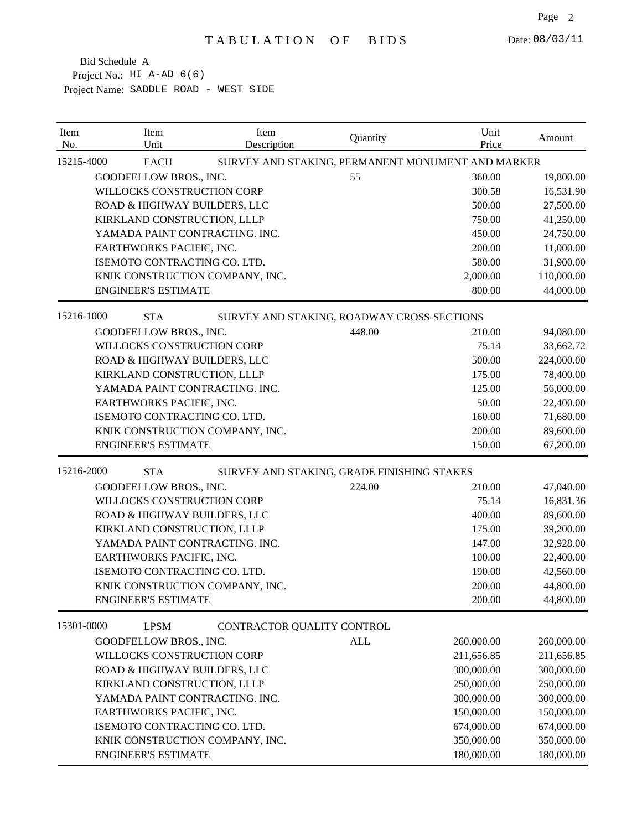| Item<br>No. | Item<br>Unit                    | Item<br>Description        | Quantity                                          | Unit<br>Price | Amount     |
|-------------|---------------------------------|----------------------------|---------------------------------------------------|---------------|------------|
| 15215-4000  | <b>EACH</b>                     |                            | SURVEY AND STAKING, PERMANENT MONUMENT AND MARKER |               |            |
|             | GOODFELLOW BROS., INC.          |                            | 55                                                | 360.00        | 19,800.00  |
|             | WILLOCKS CONSTRUCTION CORP      |                            |                                                   | 300.58        | 16,531.90  |
|             | ROAD & HIGHWAY BUILDERS, LLC    |                            |                                                   | 500.00        | 27,500.00  |
|             | KIRKLAND CONSTRUCTION, LLLP     |                            |                                                   | 750.00        | 41,250.00  |
|             | YAMADA PAINT CONTRACTING. INC.  |                            |                                                   | 450.00        | 24,750.00  |
|             | EARTHWORKS PACIFIC, INC.        |                            |                                                   | 200.00        | 11,000.00  |
|             | ISEMOTO CONTRACTING CO. LTD.    |                            |                                                   | 580.00        | 31,900.00  |
|             | KNIK CONSTRUCTION COMPANY, INC. |                            |                                                   | 2,000.00      | 110,000.00 |
|             | <b>ENGINEER'S ESTIMATE</b>      |                            |                                                   | 800.00        | 44,000.00  |
| 15216-1000  | <b>STA</b>                      |                            | SURVEY AND STAKING, ROADWAY CROSS-SECTIONS        |               |            |
|             | GOODFELLOW BROS., INC.          |                            | 448.00                                            | 210.00        | 94,080.00  |
|             | WILLOCKS CONSTRUCTION CORP      |                            |                                                   | 75.14         | 33,662.72  |
|             | ROAD & HIGHWAY BUILDERS, LLC    |                            |                                                   | 500.00        | 224,000.00 |
|             | KIRKLAND CONSTRUCTION, LLLP     |                            |                                                   | 175.00        | 78,400.00  |
|             | YAMADA PAINT CONTRACTING. INC.  |                            |                                                   | 125.00        | 56,000.00  |
|             | EARTHWORKS PACIFIC, INC.        |                            |                                                   | 50.00         | 22,400.00  |
|             | ISEMOTO CONTRACTING CO. LTD.    |                            |                                                   | 160.00        | 71,680.00  |
|             | KNIK CONSTRUCTION COMPANY, INC. |                            |                                                   | 200.00        | 89,600.00  |
|             | <b>ENGINEER'S ESTIMATE</b>      |                            |                                                   | 150.00        | 67,200.00  |
| 15216-2000  | <b>STA</b>                      |                            | SURVEY AND STAKING, GRADE FINISHING STAKES        |               |            |
|             | GOODFELLOW BROS., INC.          |                            | 224.00                                            | 210.00        | 47,040.00  |
|             | WILLOCKS CONSTRUCTION CORP      |                            |                                                   | 75.14         | 16,831.36  |
|             | ROAD & HIGHWAY BUILDERS, LLC    |                            |                                                   | 400.00        | 89,600.00  |
|             | KIRKLAND CONSTRUCTION, LLLP     |                            |                                                   | 175.00        | 39,200.00  |
|             | YAMADA PAINT CONTRACTING. INC.  |                            |                                                   | 147.00        | 32,928.00  |
|             | EARTHWORKS PACIFIC, INC.        |                            |                                                   | 100.00        | 22,400.00  |
|             | ISEMOTO CONTRACTING CO. LTD.    |                            |                                                   | 190.00        | 42,560.00  |
|             | KNIK CONSTRUCTION COMPANY, INC. |                            |                                                   | 200.00        | 44,800.00  |
|             | <b>ENGINEER'S ESTIMATE</b>      |                            |                                                   | 200.00        | 44,800.00  |
| 15301-0000  | <b>LPSM</b>                     | CONTRACTOR QUALITY CONTROL |                                                   |               |            |
|             | GOODFELLOW BROS., INC.          |                            | <b>ALL</b>                                        | 260,000.00    | 260,000.00 |
|             | WILLOCKS CONSTRUCTION CORP      |                            |                                                   | 211,656.85    | 211,656.85 |
|             | ROAD & HIGHWAY BUILDERS, LLC    |                            |                                                   | 300,000.00    | 300,000.00 |
|             | KIRKLAND CONSTRUCTION, LLLP     |                            |                                                   | 250,000.00    | 250,000.00 |
|             | YAMADA PAINT CONTRACTING. INC.  |                            |                                                   | 300,000.00    | 300,000.00 |
|             | EARTHWORKS PACIFIC, INC.        |                            |                                                   | 150,000.00    | 150,000.00 |
|             | ISEMOTO CONTRACTING CO. LTD.    |                            |                                                   | 674,000.00    | 674,000.00 |
|             | KNIK CONSTRUCTION COMPANY, INC. |                            |                                                   | 350,000.00    | 350,000.00 |
|             | <b>ENGINEER'S ESTIMATE</b>      |                            |                                                   | 180,000.00    | 180,000.00 |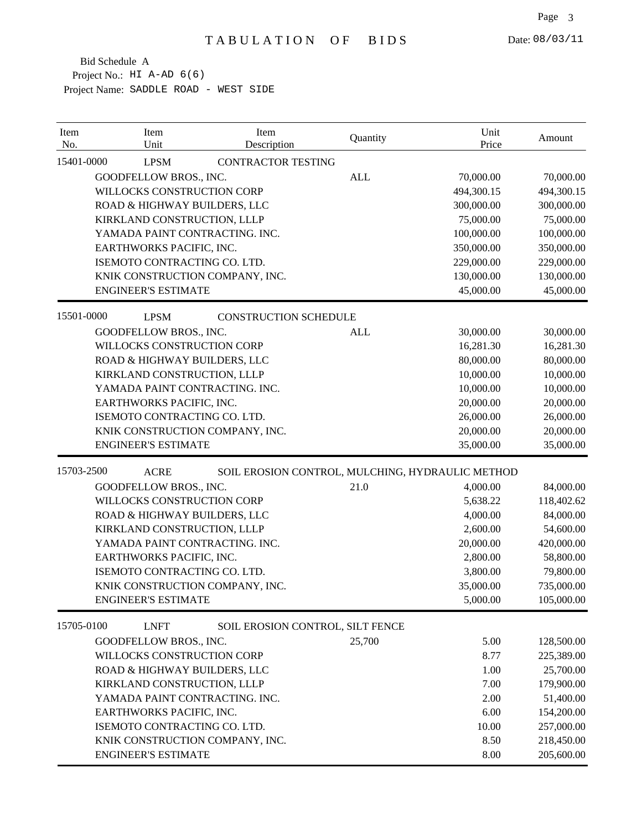| Item<br>No. | Item<br>Unit                    | Item<br>Description                              | Quantity   | Unit<br>Price | Amount     |
|-------------|---------------------------------|--------------------------------------------------|------------|---------------|------------|
| 15401-0000  | <b>LPSM</b>                     | <b>CONTRACTOR TESTING</b>                        |            |               |            |
|             | GOODFELLOW BROS., INC.          |                                                  | <b>ALL</b> | 70,000.00     | 70,000.00  |
|             | WILLOCKS CONSTRUCTION CORP      |                                                  |            | 494,300.15    | 494,300.15 |
|             | ROAD & HIGHWAY BUILDERS, LLC    |                                                  |            | 300,000.00    | 300,000.00 |
|             | KIRKLAND CONSTRUCTION, LLLP     |                                                  |            | 75,000.00     | 75,000.00  |
|             | YAMADA PAINT CONTRACTING. INC.  |                                                  |            | 100,000.00    | 100,000.00 |
|             | EARTHWORKS PACIFIC, INC.        |                                                  |            | 350,000.00    | 350,000.00 |
|             | ISEMOTO CONTRACTING CO. LTD.    |                                                  |            | 229,000.00    | 229,000.00 |
|             | KNIK CONSTRUCTION COMPANY, INC. |                                                  |            | 130,000.00    | 130,000.00 |
|             | <b>ENGINEER'S ESTIMATE</b>      |                                                  |            | 45,000.00     | 45,000.00  |
| 15501-0000  | <b>LPSM</b>                     | <b>CONSTRUCTION SCHEDULE</b>                     |            |               |            |
|             | GOODFELLOW BROS., INC.          |                                                  | <b>ALL</b> | 30,000.00     | 30,000.00  |
|             | WILLOCKS CONSTRUCTION CORP      |                                                  |            | 16,281.30     | 16,281.30  |
|             | ROAD & HIGHWAY BUILDERS, LLC    |                                                  |            | 80,000.00     | 80,000.00  |
|             | KIRKLAND CONSTRUCTION, LLLP     |                                                  |            | 10,000.00     | 10,000.00  |
|             | YAMADA PAINT CONTRACTING. INC.  |                                                  |            | 10,000.00     | 10,000.00  |
|             | EARTHWORKS PACIFIC, INC.        |                                                  |            | 20,000.00     | 20,000.00  |
|             | ISEMOTO CONTRACTING CO. LTD.    |                                                  |            | 26,000.00     | 26,000.00  |
|             | KNIK CONSTRUCTION COMPANY, INC. |                                                  |            | 20,000.00     | 20,000.00  |
|             | <b>ENGINEER'S ESTIMATE</b>      |                                                  |            | 35,000.00     | 35,000.00  |
| 15703-2500  | <b>ACRE</b>                     | SOIL EROSION CONTROL, MULCHING, HYDRAULIC METHOD |            |               |            |
|             | GOODFELLOW BROS., INC.          |                                                  | 21.0       | 4,000.00      | 84,000.00  |
|             | WILLOCKS CONSTRUCTION CORP      |                                                  |            | 5,638.22      | 118,402.62 |
|             | ROAD & HIGHWAY BUILDERS, LLC    |                                                  |            | 4,000.00      | 84,000.00  |
|             | KIRKLAND CONSTRUCTION, LLLP     |                                                  |            | 2,600.00      | 54,600.00  |
|             | YAMADA PAINT CONTRACTING. INC.  |                                                  |            | 20,000.00     | 420,000.00 |
|             | EARTHWORKS PACIFIC, INC.        |                                                  |            | 2,800.00      | 58,800.00  |
|             | ISEMOTO CONTRACTING CO. LTD.    |                                                  |            | 3,800.00      | 79,800.00  |
|             | KNIK CONSTRUCTION COMPANY, INC. |                                                  |            | 35,000.00     | 735,000.00 |
|             | <b>ENGINEER'S ESTIMATE</b>      |                                                  |            | 5,000.00      | 105,000.00 |
| 15705-0100  | <b>LNFT</b>                     | SOIL EROSION CONTROL, SILT FENCE                 |            |               |            |
|             | GOODFELLOW BROS., INC.          |                                                  | 25,700     | 5.00          | 128,500.00 |
|             | WILLOCKS CONSTRUCTION CORP      |                                                  |            | 8.77          | 225,389.00 |
|             | ROAD & HIGHWAY BUILDERS, LLC    |                                                  |            | 1.00          | 25,700.00  |
|             | KIRKLAND CONSTRUCTION, LLLP     |                                                  |            | 7.00          | 179,900.00 |
|             | YAMADA PAINT CONTRACTING. INC.  |                                                  |            | 2.00          | 51,400.00  |
|             | EARTHWORKS PACIFIC, INC.        |                                                  |            | 6.00          | 154,200.00 |
|             | ISEMOTO CONTRACTING CO. LTD.    |                                                  |            | 10.00         | 257,000.00 |
|             | KNIK CONSTRUCTION COMPANY, INC. |                                                  |            | 8.50          | 218,450.00 |
|             | <b>ENGINEER'S ESTIMATE</b>      |                                                  |            | 8.00          | 205,600.00 |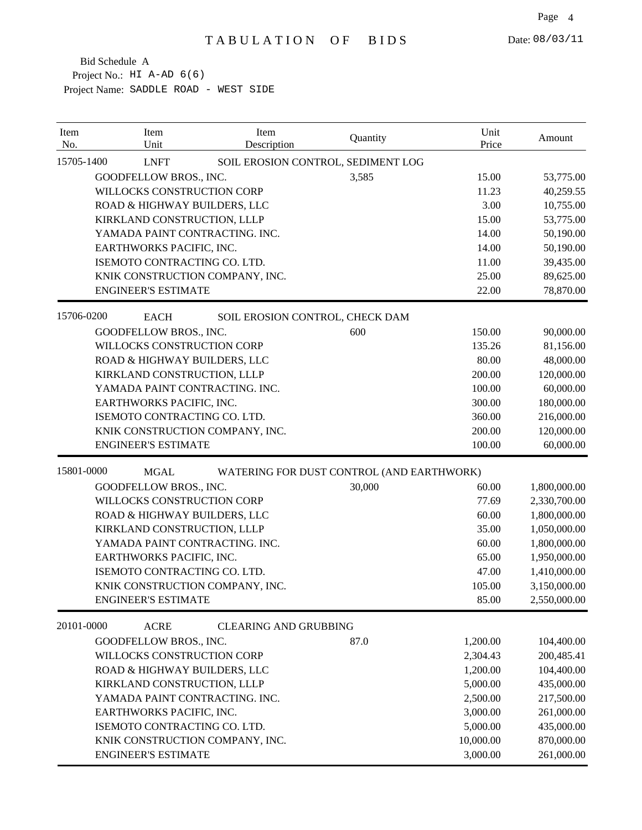| Item<br>No. | Item<br>Unit                    | Item<br>Description                       | Quantity | Unit<br>Price | Amount       |
|-------------|---------------------------------|-------------------------------------------|----------|---------------|--------------|
| 15705-1400  | <b>LNFT</b>                     | SOIL EROSION CONTROL, SEDIMENT LOG        |          |               |              |
|             | GOODFELLOW BROS., INC.          |                                           | 3,585    | 15.00         | 53,775.00    |
|             | WILLOCKS CONSTRUCTION CORP      |                                           |          | 11.23         | 40,259.55    |
|             | ROAD & HIGHWAY BUILDERS, LLC    |                                           |          | 3.00          | 10,755.00    |
|             | KIRKLAND CONSTRUCTION, LLLP     |                                           |          | 15.00         | 53,775.00    |
|             | YAMADA PAINT CONTRACTING. INC.  |                                           |          | 14.00         | 50,190.00    |
|             | EARTHWORKS PACIFIC, INC.        |                                           |          | 14.00         | 50,190.00    |
|             | ISEMOTO CONTRACTING CO. LTD.    |                                           |          | 11.00         | 39,435.00    |
|             | KNIK CONSTRUCTION COMPANY, INC. |                                           |          | 25.00         | 89,625.00    |
|             | <b>ENGINEER'S ESTIMATE</b>      |                                           |          | 22.00         | 78,870.00    |
| 15706-0200  | <b>EACH</b>                     | SOIL EROSION CONTROL, CHECK DAM           |          |               |              |
|             | GOODFELLOW BROS., INC.          |                                           | 600      | 150.00        | 90,000.00    |
|             | WILLOCKS CONSTRUCTION CORP      |                                           |          | 135.26        | 81,156.00    |
|             | ROAD & HIGHWAY BUILDERS, LLC    |                                           |          | 80.00         | 48,000.00    |
|             | KIRKLAND CONSTRUCTION, LLLP     |                                           |          | 200.00        | 120,000.00   |
|             | YAMADA PAINT CONTRACTING. INC.  |                                           |          | 100.00        | 60,000.00    |
|             | EARTHWORKS PACIFIC, INC.        |                                           |          | 300.00        | 180,000.00   |
|             | ISEMOTO CONTRACTING CO. LTD.    |                                           |          | 360.00        | 216,000.00   |
|             | KNIK CONSTRUCTION COMPANY, INC. |                                           |          | 200.00        | 120,000.00   |
|             | <b>ENGINEER'S ESTIMATE</b>      |                                           |          | 100.00        | 60,000.00    |
| 15801-0000  | <b>MGAL</b>                     | WATERING FOR DUST CONTROL (AND EARTHWORK) |          |               |              |
|             | GOODFELLOW BROS., INC.          |                                           | 30,000   | 60.00         | 1,800,000.00 |
|             | WILLOCKS CONSTRUCTION CORP      |                                           |          | 77.69         | 2,330,700.00 |
|             | ROAD & HIGHWAY BUILDERS, LLC    |                                           |          | 60.00         | 1,800,000.00 |
|             | KIRKLAND CONSTRUCTION, LLLP     |                                           |          | 35.00         | 1,050,000.00 |
|             | YAMADA PAINT CONTRACTING. INC.  |                                           |          | 60.00         | 1,800,000.00 |
|             | EARTHWORKS PACIFIC, INC.        |                                           |          | 65.00         | 1,950,000.00 |
|             | ISEMOTO CONTRACTING CO. LTD.    |                                           |          | 47.00         | 1,410,000.00 |
|             | KNIK CONSTRUCTION COMPANY, INC. |                                           |          | 105.00        | 3,150,000.00 |
|             | <b>ENGINEER'S ESTIMATE</b>      |                                           |          | 85.00         | 2,550,000.00 |
| 20101-0000  | <b>ACRE</b>                     | <b>CLEARING AND GRUBBING</b>              |          |               |              |
|             | GOODFELLOW BROS., INC.          |                                           | 87.0     | 1,200.00      | 104,400.00   |
|             | WILLOCKS CONSTRUCTION CORP      |                                           |          | 2,304.43      | 200,485.41   |
|             | ROAD & HIGHWAY BUILDERS, LLC    |                                           |          | 1,200.00      | 104,400.00   |
|             | KIRKLAND CONSTRUCTION, LLLP     |                                           |          | 5,000.00      | 435,000.00   |
|             | YAMADA PAINT CONTRACTING. INC.  |                                           |          | 2,500.00      | 217,500.00   |
|             | EARTHWORKS PACIFIC, INC.        |                                           |          | 3,000.00      | 261,000.00   |
|             | ISEMOTO CONTRACTING CO. LTD.    |                                           |          | 5,000.00      | 435,000.00   |
|             | KNIK CONSTRUCTION COMPANY, INC. |                                           |          | 10,000.00     | 870,000.00   |
|             | <b>ENGINEER'S ESTIMATE</b>      |                                           |          | 3,000.00      | 261,000.00   |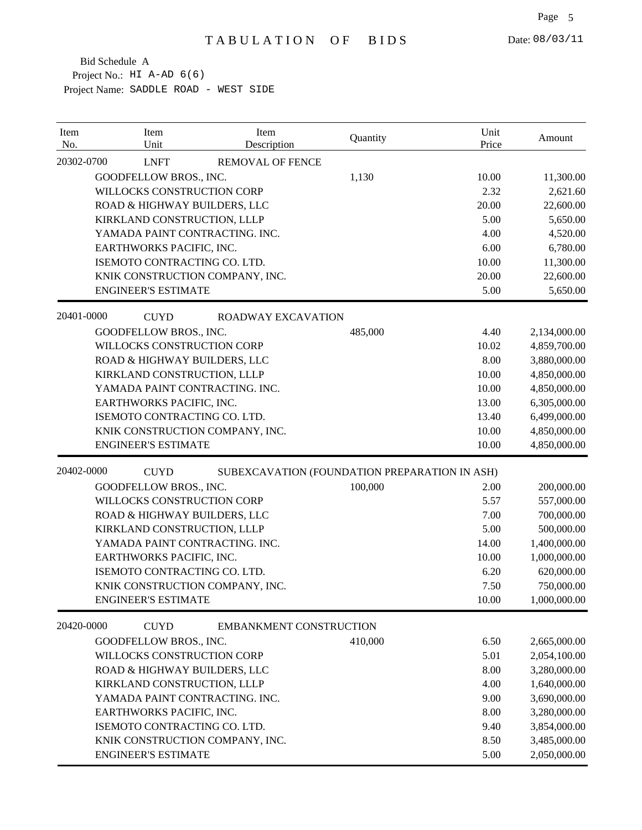| Item<br>No. | Item<br>Unit                    | Item<br>Description            | Quantity                                      | Unit<br>Price | Amount       |
|-------------|---------------------------------|--------------------------------|-----------------------------------------------|---------------|--------------|
| 20302-0700  | <b>LNFT</b>                     | <b>REMOVAL OF FENCE</b>        |                                               |               |              |
|             | GOODFELLOW BROS., INC.          |                                | 1,130                                         | 10.00         | 11,300.00    |
|             | WILLOCKS CONSTRUCTION CORP      |                                |                                               | 2.32          | 2,621.60     |
|             | ROAD & HIGHWAY BUILDERS, LLC    |                                |                                               | 20.00         | 22,600.00    |
|             | KIRKLAND CONSTRUCTION, LLLP     |                                |                                               | 5.00          | 5,650.00     |
|             | YAMADA PAINT CONTRACTING. INC.  |                                |                                               | 4.00          | 4,520.00     |
|             | EARTHWORKS PACIFIC, INC.        |                                |                                               | 6.00          | 6,780.00     |
|             | ISEMOTO CONTRACTING CO. LTD.    |                                |                                               | 10.00         | 11,300.00    |
|             | KNIK CONSTRUCTION COMPANY, INC. |                                |                                               | 20.00         | 22,600.00    |
|             | <b>ENGINEER'S ESTIMATE</b>      |                                |                                               | 5.00          | 5,650.00     |
| 20401-0000  | <b>CUYD</b>                     | <b>ROADWAY EXCAVATION</b>      |                                               |               |              |
|             | GOODFELLOW BROS., INC.          |                                | 485,000                                       | 4.40          | 2,134,000.00 |
|             | WILLOCKS CONSTRUCTION CORP      |                                |                                               | 10.02         | 4,859,700.00 |
|             | ROAD & HIGHWAY BUILDERS, LLC    |                                |                                               | 8.00          | 3,880,000.00 |
|             | KIRKLAND CONSTRUCTION, LLLP     |                                |                                               | 10.00         | 4,850,000.00 |
|             | YAMADA PAINT CONTRACTING. INC.  |                                |                                               | 10.00         | 4,850,000.00 |
|             | EARTHWORKS PACIFIC, INC.        |                                |                                               | 13.00         | 6,305,000.00 |
|             | ISEMOTO CONTRACTING CO. LTD.    |                                |                                               | 13.40         | 6,499,000.00 |
|             | KNIK CONSTRUCTION COMPANY, INC. |                                |                                               | 10.00         | 4,850,000.00 |
|             | <b>ENGINEER'S ESTIMATE</b>      |                                |                                               | 10.00         | 4,850,000.00 |
| 20402-0000  | <b>CUYD</b>                     |                                | SUBEXCAVATION (FOUNDATION PREPARATION IN ASH) |               |              |
|             | GOODFELLOW BROS., INC.          |                                | 100,000                                       | 2.00          | 200,000.00   |
|             | WILLOCKS CONSTRUCTION CORP      |                                |                                               | 5.57          | 557,000.00   |
|             | ROAD & HIGHWAY BUILDERS, LLC    |                                |                                               | 7.00          | 700,000.00   |
|             | KIRKLAND CONSTRUCTION, LLLP     |                                |                                               | 5.00          | 500,000.00   |
|             | YAMADA PAINT CONTRACTING. INC.  |                                |                                               | 14.00         | 1,400,000.00 |
|             | EARTHWORKS PACIFIC, INC.        |                                |                                               | 10.00         | 1,000,000.00 |
|             | ISEMOTO CONTRACTING CO. LTD.    |                                |                                               | 6.20          | 620,000.00   |
|             | KNIK CONSTRUCTION COMPANY, INC. |                                |                                               | 7.50          | 750,000.00   |
|             | <b>ENGINEER'S ESTIMATE</b>      |                                |                                               | 10.00         | 1,000,000.00 |
| 20420-0000  | <b>CUYD</b>                     | <b>EMBANKMENT CONSTRUCTION</b> |                                               |               |              |
|             | GOODFELLOW BROS., INC.          |                                | 410,000                                       | 6.50          | 2,665,000.00 |
|             | WILLOCKS CONSTRUCTION CORP      |                                |                                               | 5.01          | 2,054,100.00 |
|             | ROAD & HIGHWAY BUILDERS, LLC    |                                |                                               | 8.00          | 3,280,000.00 |
|             | KIRKLAND CONSTRUCTION, LLLP     |                                |                                               | 4.00          | 1,640,000.00 |
|             | YAMADA PAINT CONTRACTING. INC.  |                                |                                               | 9.00          | 3,690,000.00 |
|             | EARTHWORKS PACIFIC, INC.        |                                |                                               | 8.00          | 3,280,000.00 |
|             | ISEMOTO CONTRACTING CO. LTD.    |                                |                                               | 9.40          | 3,854,000.00 |
|             | KNIK CONSTRUCTION COMPANY, INC. |                                |                                               | 8.50          | 3,485,000.00 |
|             | <b>ENGINEER'S ESTIMATE</b>      |                                |                                               | 5.00          | 2,050,000.00 |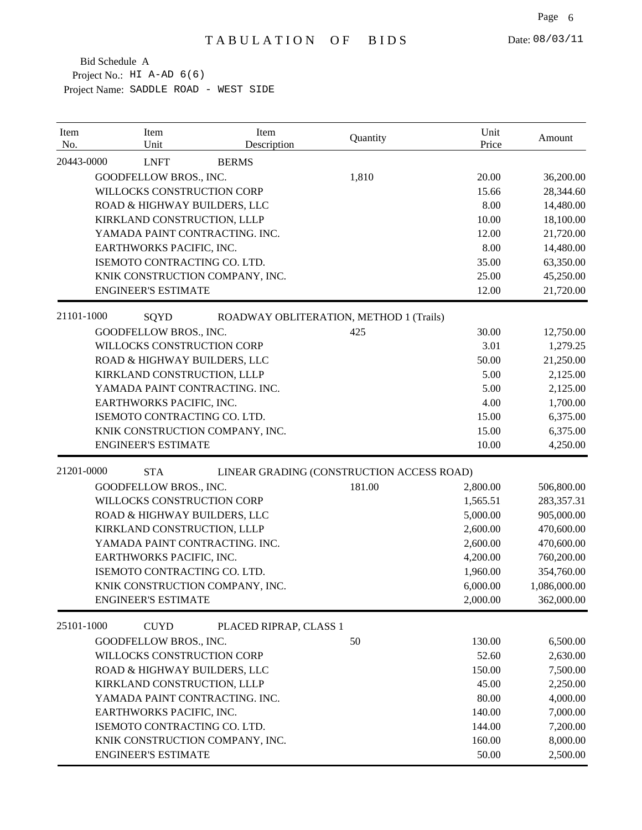| 20443-0000<br><b>LNFT</b><br><b>BERMS</b><br>GOODFELLOW BROS., INC.<br>1,810<br>20.00<br>WILLOCKS CONSTRUCTION CORP<br>15.66<br>ROAD & HIGHWAY BUILDERS, LLC<br>8.00<br>KIRKLAND CONSTRUCTION, LLLP<br>10.00<br>YAMADA PAINT CONTRACTING. INC.<br>12.00<br>8.00<br>EARTHWORKS PACIFIC, INC.<br>ISEMOTO CONTRACTING CO. LTD.<br>35.00<br>25.00<br>KNIK CONSTRUCTION COMPANY, INC.<br><b>ENGINEER'S ESTIMATE</b><br>12.00<br>21101-1000<br>SQYD<br>ROADWAY OBLITERATION, METHOD 1 (Trails)<br>GOODFELLOW BROS., INC.<br>425<br>30.00<br>3.01<br>WILLOCKS CONSTRUCTION CORP<br>ROAD & HIGHWAY BUILDERS, LLC<br>50.00<br>KIRKLAND CONSTRUCTION, LLLP<br>5.00<br>5.00<br>YAMADA PAINT CONTRACTING. INC.<br>EARTHWORKS PACIFIC, INC.<br>4.00<br>ISEMOTO CONTRACTING CO. LTD.<br>15.00<br>KNIK CONSTRUCTION COMPANY, INC.<br>15.00<br><b>ENGINEER'S ESTIMATE</b><br>10.00<br>21201-0000<br><b>STA</b><br>LINEAR GRADING (CONSTRUCTION ACCESS ROAD)<br>181.00<br>GOODFELLOW BROS., INC.<br>2,800.00<br>WILLOCKS CONSTRUCTION CORP<br>1,565.51<br>ROAD & HIGHWAY BUILDERS, LLC<br>5,000.00<br>KIRKLAND CONSTRUCTION, LLLP<br>2,600.00<br>YAMADA PAINT CONTRACTING. INC.<br>2,600.00<br>EARTHWORKS PACIFIC, INC.<br>4,200.00<br>ISEMOTO CONTRACTING CO. LTD.<br>1,960.00<br>KNIK CONSTRUCTION COMPANY, INC.<br>6,000.00<br>2,000.00<br><b>ENGINEER'S ESTIMATE</b><br><b>CUYD</b><br>25101-1000<br>PLACED RIPRAP, CLASS 1<br>130.00<br>GOODFELLOW BROS., INC.<br>50<br>WILLOCKS CONSTRUCTION CORP<br>52.60<br>ROAD & HIGHWAY BUILDERS, LLC<br>150.00<br>KIRKLAND CONSTRUCTION, LLLP<br>45.00<br>YAMADA PAINT CONTRACTING. INC.<br>80.00<br>EARTHWORKS PACIFIC, INC.<br>140.00<br>ISEMOTO CONTRACTING CO. LTD.<br>144.00<br>KNIK CONSTRUCTION COMPANY, INC.<br>160.00<br><b>ENGINEER'S ESTIMATE</b><br>50.00 | Item<br>No. | Item<br>Unit | Item<br>Description | Quantity | Unit<br>Price | Amount       |
|--------------------------------------------------------------------------------------------------------------------------------------------------------------------------------------------------------------------------------------------------------------------------------------------------------------------------------------------------------------------------------------------------------------------------------------------------------------------------------------------------------------------------------------------------------------------------------------------------------------------------------------------------------------------------------------------------------------------------------------------------------------------------------------------------------------------------------------------------------------------------------------------------------------------------------------------------------------------------------------------------------------------------------------------------------------------------------------------------------------------------------------------------------------------------------------------------------------------------------------------------------------------------------------------------------------------------------------------------------------------------------------------------------------------------------------------------------------------------------------------------------------------------------------------------------------------------------------------------------------------------------------------------------------------------------------------------------------------------------------------------------------------------------------------------|-------------|--------------|---------------------|----------|---------------|--------------|
|                                                                                                                                                                                                                                                                                                                                                                                                                                                                                                                                                                                                                                                                                                                                                                                                                                                                                                                                                                                                                                                                                                                                                                                                                                                                                                                                                                                                                                                                                                                                                                                                                                                                                                                                                                                                  |             |              |                     |          |               |              |
|                                                                                                                                                                                                                                                                                                                                                                                                                                                                                                                                                                                                                                                                                                                                                                                                                                                                                                                                                                                                                                                                                                                                                                                                                                                                                                                                                                                                                                                                                                                                                                                                                                                                                                                                                                                                  |             |              |                     |          |               | 36,200.00    |
|                                                                                                                                                                                                                                                                                                                                                                                                                                                                                                                                                                                                                                                                                                                                                                                                                                                                                                                                                                                                                                                                                                                                                                                                                                                                                                                                                                                                                                                                                                                                                                                                                                                                                                                                                                                                  |             |              |                     |          |               | 28,344.60    |
|                                                                                                                                                                                                                                                                                                                                                                                                                                                                                                                                                                                                                                                                                                                                                                                                                                                                                                                                                                                                                                                                                                                                                                                                                                                                                                                                                                                                                                                                                                                                                                                                                                                                                                                                                                                                  |             |              |                     |          |               | 14,480.00    |
|                                                                                                                                                                                                                                                                                                                                                                                                                                                                                                                                                                                                                                                                                                                                                                                                                                                                                                                                                                                                                                                                                                                                                                                                                                                                                                                                                                                                                                                                                                                                                                                                                                                                                                                                                                                                  |             |              |                     |          |               | 18,100.00    |
|                                                                                                                                                                                                                                                                                                                                                                                                                                                                                                                                                                                                                                                                                                                                                                                                                                                                                                                                                                                                                                                                                                                                                                                                                                                                                                                                                                                                                                                                                                                                                                                                                                                                                                                                                                                                  |             |              |                     |          |               | 21,720.00    |
|                                                                                                                                                                                                                                                                                                                                                                                                                                                                                                                                                                                                                                                                                                                                                                                                                                                                                                                                                                                                                                                                                                                                                                                                                                                                                                                                                                                                                                                                                                                                                                                                                                                                                                                                                                                                  |             |              |                     |          |               | 14,480.00    |
|                                                                                                                                                                                                                                                                                                                                                                                                                                                                                                                                                                                                                                                                                                                                                                                                                                                                                                                                                                                                                                                                                                                                                                                                                                                                                                                                                                                                                                                                                                                                                                                                                                                                                                                                                                                                  |             |              |                     |          |               | 63,350.00    |
|                                                                                                                                                                                                                                                                                                                                                                                                                                                                                                                                                                                                                                                                                                                                                                                                                                                                                                                                                                                                                                                                                                                                                                                                                                                                                                                                                                                                                                                                                                                                                                                                                                                                                                                                                                                                  |             |              |                     |          |               | 45,250.00    |
|                                                                                                                                                                                                                                                                                                                                                                                                                                                                                                                                                                                                                                                                                                                                                                                                                                                                                                                                                                                                                                                                                                                                                                                                                                                                                                                                                                                                                                                                                                                                                                                                                                                                                                                                                                                                  |             |              |                     |          |               | 21,720.00    |
|                                                                                                                                                                                                                                                                                                                                                                                                                                                                                                                                                                                                                                                                                                                                                                                                                                                                                                                                                                                                                                                                                                                                                                                                                                                                                                                                                                                                                                                                                                                                                                                                                                                                                                                                                                                                  |             |              |                     |          |               |              |
|                                                                                                                                                                                                                                                                                                                                                                                                                                                                                                                                                                                                                                                                                                                                                                                                                                                                                                                                                                                                                                                                                                                                                                                                                                                                                                                                                                                                                                                                                                                                                                                                                                                                                                                                                                                                  |             |              |                     |          |               | 12,750.00    |
|                                                                                                                                                                                                                                                                                                                                                                                                                                                                                                                                                                                                                                                                                                                                                                                                                                                                                                                                                                                                                                                                                                                                                                                                                                                                                                                                                                                                                                                                                                                                                                                                                                                                                                                                                                                                  |             |              |                     |          |               | 1,279.25     |
|                                                                                                                                                                                                                                                                                                                                                                                                                                                                                                                                                                                                                                                                                                                                                                                                                                                                                                                                                                                                                                                                                                                                                                                                                                                                                                                                                                                                                                                                                                                                                                                                                                                                                                                                                                                                  |             |              |                     |          |               | 21,250.00    |
|                                                                                                                                                                                                                                                                                                                                                                                                                                                                                                                                                                                                                                                                                                                                                                                                                                                                                                                                                                                                                                                                                                                                                                                                                                                                                                                                                                                                                                                                                                                                                                                                                                                                                                                                                                                                  |             |              |                     |          |               | 2,125.00     |
|                                                                                                                                                                                                                                                                                                                                                                                                                                                                                                                                                                                                                                                                                                                                                                                                                                                                                                                                                                                                                                                                                                                                                                                                                                                                                                                                                                                                                                                                                                                                                                                                                                                                                                                                                                                                  |             |              |                     |          |               | 2,125.00     |
|                                                                                                                                                                                                                                                                                                                                                                                                                                                                                                                                                                                                                                                                                                                                                                                                                                                                                                                                                                                                                                                                                                                                                                                                                                                                                                                                                                                                                                                                                                                                                                                                                                                                                                                                                                                                  |             |              |                     |          |               | 1,700.00     |
|                                                                                                                                                                                                                                                                                                                                                                                                                                                                                                                                                                                                                                                                                                                                                                                                                                                                                                                                                                                                                                                                                                                                                                                                                                                                                                                                                                                                                                                                                                                                                                                                                                                                                                                                                                                                  |             |              |                     |          |               | 6,375.00     |
|                                                                                                                                                                                                                                                                                                                                                                                                                                                                                                                                                                                                                                                                                                                                                                                                                                                                                                                                                                                                                                                                                                                                                                                                                                                                                                                                                                                                                                                                                                                                                                                                                                                                                                                                                                                                  |             |              |                     |          |               | 6,375.00     |
|                                                                                                                                                                                                                                                                                                                                                                                                                                                                                                                                                                                                                                                                                                                                                                                                                                                                                                                                                                                                                                                                                                                                                                                                                                                                                                                                                                                                                                                                                                                                                                                                                                                                                                                                                                                                  |             |              |                     |          |               | 4,250.00     |
|                                                                                                                                                                                                                                                                                                                                                                                                                                                                                                                                                                                                                                                                                                                                                                                                                                                                                                                                                                                                                                                                                                                                                                                                                                                                                                                                                                                                                                                                                                                                                                                                                                                                                                                                                                                                  |             |              |                     |          |               |              |
|                                                                                                                                                                                                                                                                                                                                                                                                                                                                                                                                                                                                                                                                                                                                                                                                                                                                                                                                                                                                                                                                                                                                                                                                                                                                                                                                                                                                                                                                                                                                                                                                                                                                                                                                                                                                  |             |              |                     |          |               | 506,800.00   |
|                                                                                                                                                                                                                                                                                                                                                                                                                                                                                                                                                                                                                                                                                                                                                                                                                                                                                                                                                                                                                                                                                                                                                                                                                                                                                                                                                                                                                                                                                                                                                                                                                                                                                                                                                                                                  |             |              |                     |          |               | 283,357.31   |
|                                                                                                                                                                                                                                                                                                                                                                                                                                                                                                                                                                                                                                                                                                                                                                                                                                                                                                                                                                                                                                                                                                                                                                                                                                                                                                                                                                                                                                                                                                                                                                                                                                                                                                                                                                                                  |             |              |                     |          |               | 905,000.00   |
|                                                                                                                                                                                                                                                                                                                                                                                                                                                                                                                                                                                                                                                                                                                                                                                                                                                                                                                                                                                                                                                                                                                                                                                                                                                                                                                                                                                                                                                                                                                                                                                                                                                                                                                                                                                                  |             |              |                     |          |               | 470,600.00   |
|                                                                                                                                                                                                                                                                                                                                                                                                                                                                                                                                                                                                                                                                                                                                                                                                                                                                                                                                                                                                                                                                                                                                                                                                                                                                                                                                                                                                                                                                                                                                                                                                                                                                                                                                                                                                  |             |              |                     |          |               | 470,600.00   |
|                                                                                                                                                                                                                                                                                                                                                                                                                                                                                                                                                                                                                                                                                                                                                                                                                                                                                                                                                                                                                                                                                                                                                                                                                                                                                                                                                                                                                                                                                                                                                                                                                                                                                                                                                                                                  |             |              |                     |          |               | 760,200.00   |
|                                                                                                                                                                                                                                                                                                                                                                                                                                                                                                                                                                                                                                                                                                                                                                                                                                                                                                                                                                                                                                                                                                                                                                                                                                                                                                                                                                                                                                                                                                                                                                                                                                                                                                                                                                                                  |             |              |                     |          |               | 354,760.00   |
|                                                                                                                                                                                                                                                                                                                                                                                                                                                                                                                                                                                                                                                                                                                                                                                                                                                                                                                                                                                                                                                                                                                                                                                                                                                                                                                                                                                                                                                                                                                                                                                                                                                                                                                                                                                                  |             |              |                     |          |               | 1,086,000.00 |
|                                                                                                                                                                                                                                                                                                                                                                                                                                                                                                                                                                                                                                                                                                                                                                                                                                                                                                                                                                                                                                                                                                                                                                                                                                                                                                                                                                                                                                                                                                                                                                                                                                                                                                                                                                                                  |             |              |                     |          |               | 362,000.00   |
|                                                                                                                                                                                                                                                                                                                                                                                                                                                                                                                                                                                                                                                                                                                                                                                                                                                                                                                                                                                                                                                                                                                                                                                                                                                                                                                                                                                                                                                                                                                                                                                                                                                                                                                                                                                                  |             |              |                     |          |               |              |
|                                                                                                                                                                                                                                                                                                                                                                                                                                                                                                                                                                                                                                                                                                                                                                                                                                                                                                                                                                                                                                                                                                                                                                                                                                                                                                                                                                                                                                                                                                                                                                                                                                                                                                                                                                                                  |             |              |                     |          |               | 6,500.00     |
|                                                                                                                                                                                                                                                                                                                                                                                                                                                                                                                                                                                                                                                                                                                                                                                                                                                                                                                                                                                                                                                                                                                                                                                                                                                                                                                                                                                                                                                                                                                                                                                                                                                                                                                                                                                                  |             |              |                     |          |               | 2,630.00     |
|                                                                                                                                                                                                                                                                                                                                                                                                                                                                                                                                                                                                                                                                                                                                                                                                                                                                                                                                                                                                                                                                                                                                                                                                                                                                                                                                                                                                                                                                                                                                                                                                                                                                                                                                                                                                  |             |              |                     |          |               | 7,500.00     |
|                                                                                                                                                                                                                                                                                                                                                                                                                                                                                                                                                                                                                                                                                                                                                                                                                                                                                                                                                                                                                                                                                                                                                                                                                                                                                                                                                                                                                                                                                                                                                                                                                                                                                                                                                                                                  |             |              |                     |          |               | 2,250.00     |
|                                                                                                                                                                                                                                                                                                                                                                                                                                                                                                                                                                                                                                                                                                                                                                                                                                                                                                                                                                                                                                                                                                                                                                                                                                                                                                                                                                                                                                                                                                                                                                                                                                                                                                                                                                                                  |             |              |                     |          |               | 4,000.00     |
|                                                                                                                                                                                                                                                                                                                                                                                                                                                                                                                                                                                                                                                                                                                                                                                                                                                                                                                                                                                                                                                                                                                                                                                                                                                                                                                                                                                                                                                                                                                                                                                                                                                                                                                                                                                                  |             |              |                     |          |               | 7,000.00     |
|                                                                                                                                                                                                                                                                                                                                                                                                                                                                                                                                                                                                                                                                                                                                                                                                                                                                                                                                                                                                                                                                                                                                                                                                                                                                                                                                                                                                                                                                                                                                                                                                                                                                                                                                                                                                  |             |              |                     |          |               | 7,200.00     |
|                                                                                                                                                                                                                                                                                                                                                                                                                                                                                                                                                                                                                                                                                                                                                                                                                                                                                                                                                                                                                                                                                                                                                                                                                                                                                                                                                                                                                                                                                                                                                                                                                                                                                                                                                                                                  |             |              |                     |          |               | 8,000.00     |
|                                                                                                                                                                                                                                                                                                                                                                                                                                                                                                                                                                                                                                                                                                                                                                                                                                                                                                                                                                                                                                                                                                                                                                                                                                                                                                                                                                                                                                                                                                                                                                                                                                                                                                                                                                                                  |             |              |                     |          |               | 2,500.00     |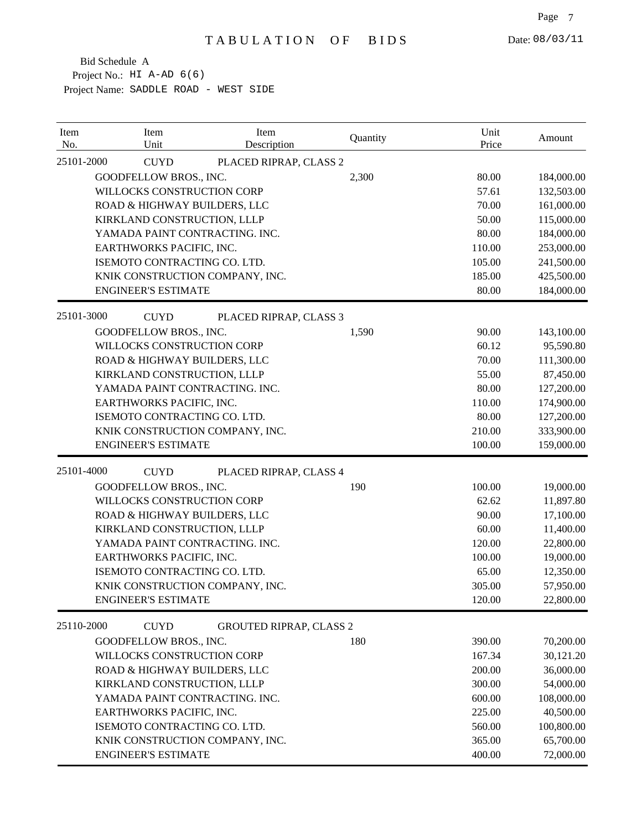| 25101-2000<br><b>CUYD</b><br>PLACED RIPRAP, CLASS 2<br>GOODFELLOW BROS., INC.<br>2,300<br>80.00<br>184,000.00<br>WILLOCKS CONSTRUCTION CORP<br>57.61<br>132,503.00<br>ROAD & HIGHWAY BUILDERS, LLC<br>70.00<br>161,000.00<br>KIRKLAND CONSTRUCTION, LLLP<br>50.00<br>115,000.00<br>80.00<br>YAMADA PAINT CONTRACTING. INC.<br>184,000.00<br>EARTHWORKS PACIFIC, INC.<br>110.00<br>253,000.00<br>ISEMOTO CONTRACTING CO. LTD.<br>105.00<br>241,500.00<br>185.00<br>KNIK CONSTRUCTION COMPANY, INC.<br>425,500.00<br><b>ENGINEER'S ESTIMATE</b><br>80.00<br>184,000.00<br>25101-3000<br><b>CUYD</b><br>PLACED RIPRAP, CLASS 3<br>GOODFELLOW BROS., INC.<br>1,590<br>90.00<br>143,100.00<br>WILLOCKS CONSTRUCTION CORP<br>60.12<br>95,590.80<br>ROAD & HIGHWAY BUILDERS, LLC<br>70.00<br>111,300.00<br>KIRKLAND CONSTRUCTION, LLLP<br>55.00<br>87,450.00<br>YAMADA PAINT CONTRACTING. INC.<br>80.00<br>127,200.00<br>EARTHWORKS PACIFIC, INC.<br>110.00<br>174,900.00<br>ISEMOTO CONTRACTING CO. LTD.<br>80.00<br>127,200.00<br>KNIK CONSTRUCTION COMPANY, INC.<br>210.00<br>333,900.00<br><b>ENGINEER'S ESTIMATE</b><br>159,000.00<br>100.00<br>25101-4000<br><b>CUYD</b><br>PLACED RIPRAP, CLASS 4<br>GOODFELLOW BROS., INC.<br>190<br>100.00<br>19,000.00<br>WILLOCKS CONSTRUCTION CORP<br>62.62<br>11,897.80<br>90.00<br>ROAD & HIGHWAY BUILDERS, LLC<br>17,100.00<br>KIRKLAND CONSTRUCTION, LLLP<br>60.00<br>11,400.00<br>YAMADA PAINT CONTRACTING. INC.<br>120.00<br>22,800.00<br>EARTHWORKS PACIFIC, INC.<br>100.00<br>19,000.00<br>ISEMOTO CONTRACTING CO. LTD.<br>65.00<br>12,350.00<br>305.00<br>KNIK CONSTRUCTION COMPANY, INC.<br>57,950.00<br>120.00<br>22,800.00<br><b>ENGINEER'S ESTIMATE</b><br><b>CUYD</b><br>25110-2000<br><b>GROUTED RIPRAP, CLASS 2</b><br>180<br>GOODFELLOW BROS., INC.<br>390.00<br>70,200.00<br>WILLOCKS CONSTRUCTION CORP<br>167.34<br>30,121.20<br>ROAD & HIGHWAY BUILDERS, LLC<br>200.00<br>36,000.00<br>300.00<br>KIRKLAND CONSTRUCTION, LLLP<br>54,000.00<br>YAMADA PAINT CONTRACTING. INC.<br>600.00<br>108,000.00<br>40,500.00<br>EARTHWORKS PACIFIC, INC.<br>225.00<br>ISEMOTO CONTRACTING CO. LTD.<br>560.00<br>100,800.00<br>65,700.00<br>KNIK CONSTRUCTION COMPANY, INC.<br>365.00<br><b>ENGINEER'S ESTIMATE</b><br>400.00<br>72,000.00 | Item<br>No. | Item<br>Unit | Item<br>Description | Quantity | Unit<br>Price | Amount |
|----------------------------------------------------------------------------------------------------------------------------------------------------------------------------------------------------------------------------------------------------------------------------------------------------------------------------------------------------------------------------------------------------------------------------------------------------------------------------------------------------------------------------------------------------------------------------------------------------------------------------------------------------------------------------------------------------------------------------------------------------------------------------------------------------------------------------------------------------------------------------------------------------------------------------------------------------------------------------------------------------------------------------------------------------------------------------------------------------------------------------------------------------------------------------------------------------------------------------------------------------------------------------------------------------------------------------------------------------------------------------------------------------------------------------------------------------------------------------------------------------------------------------------------------------------------------------------------------------------------------------------------------------------------------------------------------------------------------------------------------------------------------------------------------------------------------------------------------------------------------------------------------------------------------------------------------------------------------------------------------------------------------------------------------------------------------------------------------------------------------------------------------------------------------------------------------------------------------------------------------------------------------------------------|-------------|--------------|---------------------|----------|---------------|--------|
|                                                                                                                                                                                                                                                                                                                                                                                                                                                                                                                                                                                                                                                                                                                                                                                                                                                                                                                                                                                                                                                                                                                                                                                                                                                                                                                                                                                                                                                                                                                                                                                                                                                                                                                                                                                                                                                                                                                                                                                                                                                                                                                                                                                                                                                                                        |             |              |                     |          |               |        |
|                                                                                                                                                                                                                                                                                                                                                                                                                                                                                                                                                                                                                                                                                                                                                                                                                                                                                                                                                                                                                                                                                                                                                                                                                                                                                                                                                                                                                                                                                                                                                                                                                                                                                                                                                                                                                                                                                                                                                                                                                                                                                                                                                                                                                                                                                        |             |              |                     |          |               |        |
|                                                                                                                                                                                                                                                                                                                                                                                                                                                                                                                                                                                                                                                                                                                                                                                                                                                                                                                                                                                                                                                                                                                                                                                                                                                                                                                                                                                                                                                                                                                                                                                                                                                                                                                                                                                                                                                                                                                                                                                                                                                                                                                                                                                                                                                                                        |             |              |                     |          |               |        |
|                                                                                                                                                                                                                                                                                                                                                                                                                                                                                                                                                                                                                                                                                                                                                                                                                                                                                                                                                                                                                                                                                                                                                                                                                                                                                                                                                                                                                                                                                                                                                                                                                                                                                                                                                                                                                                                                                                                                                                                                                                                                                                                                                                                                                                                                                        |             |              |                     |          |               |        |
|                                                                                                                                                                                                                                                                                                                                                                                                                                                                                                                                                                                                                                                                                                                                                                                                                                                                                                                                                                                                                                                                                                                                                                                                                                                                                                                                                                                                                                                                                                                                                                                                                                                                                                                                                                                                                                                                                                                                                                                                                                                                                                                                                                                                                                                                                        |             |              |                     |          |               |        |
|                                                                                                                                                                                                                                                                                                                                                                                                                                                                                                                                                                                                                                                                                                                                                                                                                                                                                                                                                                                                                                                                                                                                                                                                                                                                                                                                                                                                                                                                                                                                                                                                                                                                                                                                                                                                                                                                                                                                                                                                                                                                                                                                                                                                                                                                                        |             |              |                     |          |               |        |
|                                                                                                                                                                                                                                                                                                                                                                                                                                                                                                                                                                                                                                                                                                                                                                                                                                                                                                                                                                                                                                                                                                                                                                                                                                                                                                                                                                                                                                                                                                                                                                                                                                                                                                                                                                                                                                                                                                                                                                                                                                                                                                                                                                                                                                                                                        |             |              |                     |          |               |        |
|                                                                                                                                                                                                                                                                                                                                                                                                                                                                                                                                                                                                                                                                                                                                                                                                                                                                                                                                                                                                                                                                                                                                                                                                                                                                                                                                                                                                                                                                                                                                                                                                                                                                                                                                                                                                                                                                                                                                                                                                                                                                                                                                                                                                                                                                                        |             |              |                     |          |               |        |
|                                                                                                                                                                                                                                                                                                                                                                                                                                                                                                                                                                                                                                                                                                                                                                                                                                                                                                                                                                                                                                                                                                                                                                                                                                                                                                                                                                                                                                                                                                                                                                                                                                                                                                                                                                                                                                                                                                                                                                                                                                                                                                                                                                                                                                                                                        |             |              |                     |          |               |        |
|                                                                                                                                                                                                                                                                                                                                                                                                                                                                                                                                                                                                                                                                                                                                                                                                                                                                                                                                                                                                                                                                                                                                                                                                                                                                                                                                                                                                                                                                                                                                                                                                                                                                                                                                                                                                                                                                                                                                                                                                                                                                                                                                                                                                                                                                                        |             |              |                     |          |               |        |
|                                                                                                                                                                                                                                                                                                                                                                                                                                                                                                                                                                                                                                                                                                                                                                                                                                                                                                                                                                                                                                                                                                                                                                                                                                                                                                                                                                                                                                                                                                                                                                                                                                                                                                                                                                                                                                                                                                                                                                                                                                                                                                                                                                                                                                                                                        |             |              |                     |          |               |        |
|                                                                                                                                                                                                                                                                                                                                                                                                                                                                                                                                                                                                                                                                                                                                                                                                                                                                                                                                                                                                                                                                                                                                                                                                                                                                                                                                                                                                                                                                                                                                                                                                                                                                                                                                                                                                                                                                                                                                                                                                                                                                                                                                                                                                                                                                                        |             |              |                     |          |               |        |
|                                                                                                                                                                                                                                                                                                                                                                                                                                                                                                                                                                                                                                                                                                                                                                                                                                                                                                                                                                                                                                                                                                                                                                                                                                                                                                                                                                                                                                                                                                                                                                                                                                                                                                                                                                                                                                                                                                                                                                                                                                                                                                                                                                                                                                                                                        |             |              |                     |          |               |        |
|                                                                                                                                                                                                                                                                                                                                                                                                                                                                                                                                                                                                                                                                                                                                                                                                                                                                                                                                                                                                                                                                                                                                                                                                                                                                                                                                                                                                                                                                                                                                                                                                                                                                                                                                                                                                                                                                                                                                                                                                                                                                                                                                                                                                                                                                                        |             |              |                     |          |               |        |
|                                                                                                                                                                                                                                                                                                                                                                                                                                                                                                                                                                                                                                                                                                                                                                                                                                                                                                                                                                                                                                                                                                                                                                                                                                                                                                                                                                                                                                                                                                                                                                                                                                                                                                                                                                                                                                                                                                                                                                                                                                                                                                                                                                                                                                                                                        |             |              |                     |          |               |        |
|                                                                                                                                                                                                                                                                                                                                                                                                                                                                                                                                                                                                                                                                                                                                                                                                                                                                                                                                                                                                                                                                                                                                                                                                                                                                                                                                                                                                                                                                                                                                                                                                                                                                                                                                                                                                                                                                                                                                                                                                                                                                                                                                                                                                                                                                                        |             |              |                     |          |               |        |
|                                                                                                                                                                                                                                                                                                                                                                                                                                                                                                                                                                                                                                                                                                                                                                                                                                                                                                                                                                                                                                                                                                                                                                                                                                                                                                                                                                                                                                                                                                                                                                                                                                                                                                                                                                                                                                                                                                                                                                                                                                                                                                                                                                                                                                                                                        |             |              |                     |          |               |        |
|                                                                                                                                                                                                                                                                                                                                                                                                                                                                                                                                                                                                                                                                                                                                                                                                                                                                                                                                                                                                                                                                                                                                                                                                                                                                                                                                                                                                                                                                                                                                                                                                                                                                                                                                                                                                                                                                                                                                                                                                                                                                                                                                                                                                                                                                                        |             |              |                     |          |               |        |
|                                                                                                                                                                                                                                                                                                                                                                                                                                                                                                                                                                                                                                                                                                                                                                                                                                                                                                                                                                                                                                                                                                                                                                                                                                                                                                                                                                                                                                                                                                                                                                                                                                                                                                                                                                                                                                                                                                                                                                                                                                                                                                                                                                                                                                                                                        |             |              |                     |          |               |        |
|                                                                                                                                                                                                                                                                                                                                                                                                                                                                                                                                                                                                                                                                                                                                                                                                                                                                                                                                                                                                                                                                                                                                                                                                                                                                                                                                                                                                                                                                                                                                                                                                                                                                                                                                                                                                                                                                                                                                                                                                                                                                                                                                                                                                                                                                                        |             |              |                     |          |               |        |
|                                                                                                                                                                                                                                                                                                                                                                                                                                                                                                                                                                                                                                                                                                                                                                                                                                                                                                                                                                                                                                                                                                                                                                                                                                                                                                                                                                                                                                                                                                                                                                                                                                                                                                                                                                                                                                                                                                                                                                                                                                                                                                                                                                                                                                                                                        |             |              |                     |          |               |        |
|                                                                                                                                                                                                                                                                                                                                                                                                                                                                                                                                                                                                                                                                                                                                                                                                                                                                                                                                                                                                                                                                                                                                                                                                                                                                                                                                                                                                                                                                                                                                                                                                                                                                                                                                                                                                                                                                                                                                                                                                                                                                                                                                                                                                                                                                                        |             |              |                     |          |               |        |
|                                                                                                                                                                                                                                                                                                                                                                                                                                                                                                                                                                                                                                                                                                                                                                                                                                                                                                                                                                                                                                                                                                                                                                                                                                                                                                                                                                                                                                                                                                                                                                                                                                                                                                                                                                                                                                                                                                                                                                                                                                                                                                                                                                                                                                                                                        |             |              |                     |          |               |        |
|                                                                                                                                                                                                                                                                                                                                                                                                                                                                                                                                                                                                                                                                                                                                                                                                                                                                                                                                                                                                                                                                                                                                                                                                                                                                                                                                                                                                                                                                                                                                                                                                                                                                                                                                                                                                                                                                                                                                                                                                                                                                                                                                                                                                                                                                                        |             |              |                     |          |               |        |
|                                                                                                                                                                                                                                                                                                                                                                                                                                                                                                                                                                                                                                                                                                                                                                                                                                                                                                                                                                                                                                                                                                                                                                                                                                                                                                                                                                                                                                                                                                                                                                                                                                                                                                                                                                                                                                                                                                                                                                                                                                                                                                                                                                                                                                                                                        |             |              |                     |          |               |        |
|                                                                                                                                                                                                                                                                                                                                                                                                                                                                                                                                                                                                                                                                                                                                                                                                                                                                                                                                                                                                                                                                                                                                                                                                                                                                                                                                                                                                                                                                                                                                                                                                                                                                                                                                                                                                                                                                                                                                                                                                                                                                                                                                                                                                                                                                                        |             |              |                     |          |               |        |
|                                                                                                                                                                                                                                                                                                                                                                                                                                                                                                                                                                                                                                                                                                                                                                                                                                                                                                                                                                                                                                                                                                                                                                                                                                                                                                                                                                                                                                                                                                                                                                                                                                                                                                                                                                                                                                                                                                                                                                                                                                                                                                                                                                                                                                                                                        |             |              |                     |          |               |        |
|                                                                                                                                                                                                                                                                                                                                                                                                                                                                                                                                                                                                                                                                                                                                                                                                                                                                                                                                                                                                                                                                                                                                                                                                                                                                                                                                                                                                                                                                                                                                                                                                                                                                                                                                                                                                                                                                                                                                                                                                                                                                                                                                                                                                                                                                                        |             |              |                     |          |               |        |
|                                                                                                                                                                                                                                                                                                                                                                                                                                                                                                                                                                                                                                                                                                                                                                                                                                                                                                                                                                                                                                                                                                                                                                                                                                                                                                                                                                                                                                                                                                                                                                                                                                                                                                                                                                                                                                                                                                                                                                                                                                                                                                                                                                                                                                                                                        |             |              |                     |          |               |        |
|                                                                                                                                                                                                                                                                                                                                                                                                                                                                                                                                                                                                                                                                                                                                                                                                                                                                                                                                                                                                                                                                                                                                                                                                                                                                                                                                                                                                                                                                                                                                                                                                                                                                                                                                                                                                                                                                                                                                                                                                                                                                                                                                                                                                                                                                                        |             |              |                     |          |               |        |
|                                                                                                                                                                                                                                                                                                                                                                                                                                                                                                                                                                                                                                                                                                                                                                                                                                                                                                                                                                                                                                                                                                                                                                                                                                                                                                                                                                                                                                                                                                                                                                                                                                                                                                                                                                                                                                                                                                                                                                                                                                                                                                                                                                                                                                                                                        |             |              |                     |          |               |        |
|                                                                                                                                                                                                                                                                                                                                                                                                                                                                                                                                                                                                                                                                                                                                                                                                                                                                                                                                                                                                                                                                                                                                                                                                                                                                                                                                                                                                                                                                                                                                                                                                                                                                                                                                                                                                                                                                                                                                                                                                                                                                                                                                                                                                                                                                                        |             |              |                     |          |               |        |
|                                                                                                                                                                                                                                                                                                                                                                                                                                                                                                                                                                                                                                                                                                                                                                                                                                                                                                                                                                                                                                                                                                                                                                                                                                                                                                                                                                                                                                                                                                                                                                                                                                                                                                                                                                                                                                                                                                                                                                                                                                                                                                                                                                                                                                                                                        |             |              |                     |          |               |        |
|                                                                                                                                                                                                                                                                                                                                                                                                                                                                                                                                                                                                                                                                                                                                                                                                                                                                                                                                                                                                                                                                                                                                                                                                                                                                                                                                                                                                                                                                                                                                                                                                                                                                                                                                                                                                                                                                                                                                                                                                                                                                                                                                                                                                                                                                                        |             |              |                     |          |               |        |
|                                                                                                                                                                                                                                                                                                                                                                                                                                                                                                                                                                                                                                                                                                                                                                                                                                                                                                                                                                                                                                                                                                                                                                                                                                                                                                                                                                                                                                                                                                                                                                                                                                                                                                                                                                                                                                                                                                                                                                                                                                                                                                                                                                                                                                                                                        |             |              |                     |          |               |        |
|                                                                                                                                                                                                                                                                                                                                                                                                                                                                                                                                                                                                                                                                                                                                                                                                                                                                                                                                                                                                                                                                                                                                                                                                                                                                                                                                                                                                                                                                                                                                                                                                                                                                                                                                                                                                                                                                                                                                                                                                                                                                                                                                                                                                                                                                                        |             |              |                     |          |               |        |
|                                                                                                                                                                                                                                                                                                                                                                                                                                                                                                                                                                                                                                                                                                                                                                                                                                                                                                                                                                                                                                                                                                                                                                                                                                                                                                                                                                                                                                                                                                                                                                                                                                                                                                                                                                                                                                                                                                                                                                                                                                                                                                                                                                                                                                                                                        |             |              |                     |          |               |        |
|                                                                                                                                                                                                                                                                                                                                                                                                                                                                                                                                                                                                                                                                                                                                                                                                                                                                                                                                                                                                                                                                                                                                                                                                                                                                                                                                                                                                                                                                                                                                                                                                                                                                                                                                                                                                                                                                                                                                                                                                                                                                                                                                                                                                                                                                                        |             |              |                     |          |               |        |
|                                                                                                                                                                                                                                                                                                                                                                                                                                                                                                                                                                                                                                                                                                                                                                                                                                                                                                                                                                                                                                                                                                                                                                                                                                                                                                                                                                                                                                                                                                                                                                                                                                                                                                                                                                                                                                                                                                                                                                                                                                                                                                                                                                                                                                                                                        |             |              |                     |          |               |        |
|                                                                                                                                                                                                                                                                                                                                                                                                                                                                                                                                                                                                                                                                                                                                                                                                                                                                                                                                                                                                                                                                                                                                                                                                                                                                                                                                                                                                                                                                                                                                                                                                                                                                                                                                                                                                                                                                                                                                                                                                                                                                                                                                                                                                                                                                                        |             |              |                     |          |               |        |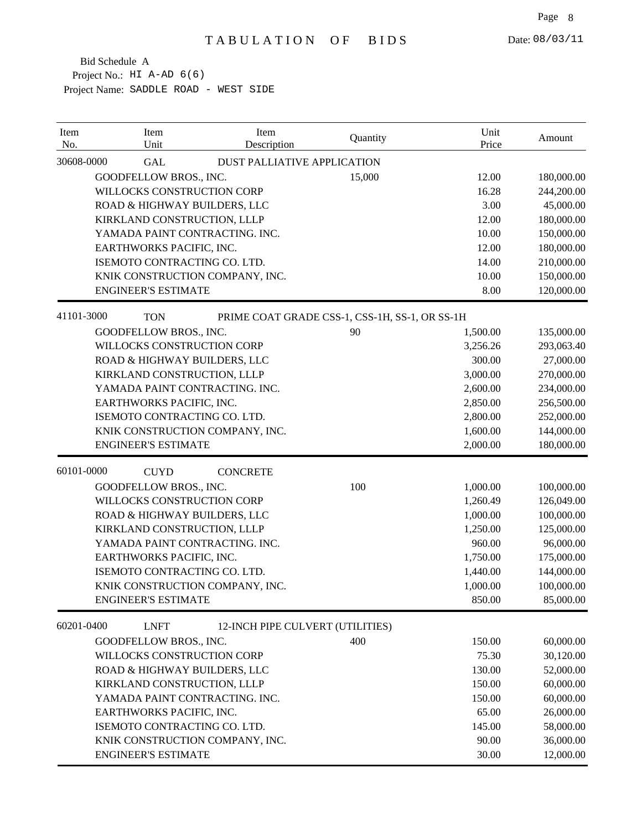| Item<br>No. | Item<br>Unit                    | Item<br>Description                | Quantity                                       | Unit<br>Price | Amount     |
|-------------|---------------------------------|------------------------------------|------------------------------------------------|---------------|------------|
| 30608-0000  | <b>GAL</b>                      | <b>DUST PALLIATIVE APPLICATION</b> |                                                |               |            |
|             | GOODFELLOW BROS., INC.          |                                    | 15,000                                         | 12.00         | 180,000.00 |
|             | WILLOCKS CONSTRUCTION CORP      |                                    |                                                | 16.28         | 244,200.00 |
|             | ROAD & HIGHWAY BUILDERS, LLC    |                                    |                                                | 3.00          | 45,000.00  |
|             | KIRKLAND CONSTRUCTION, LLLP     |                                    |                                                | 12.00         | 180,000.00 |
|             | YAMADA PAINT CONTRACTING. INC.  |                                    |                                                | 10.00         | 150,000.00 |
|             | EARTHWORKS PACIFIC, INC.        |                                    |                                                | 12.00         | 180,000.00 |
|             | ISEMOTO CONTRACTING CO. LTD.    |                                    |                                                | 14.00         | 210,000.00 |
|             | KNIK CONSTRUCTION COMPANY, INC. |                                    |                                                | 10.00         | 150,000.00 |
|             | <b>ENGINEER'S ESTIMATE</b>      |                                    |                                                | 8.00          | 120,000.00 |
| 41101-3000  | <b>TON</b>                      |                                    | PRIME COAT GRADE CSS-1, CSS-1H, SS-1, OR SS-1H |               |            |
|             | GOODFELLOW BROS., INC.          |                                    | 90                                             | 1,500.00      | 135,000.00 |
|             | WILLOCKS CONSTRUCTION CORP      |                                    |                                                | 3,256.26      | 293,063.40 |
|             | ROAD & HIGHWAY BUILDERS, LLC    |                                    |                                                | 300.00        | 27,000.00  |
|             | KIRKLAND CONSTRUCTION, LLLP     |                                    |                                                | 3,000.00      | 270,000.00 |
|             | YAMADA PAINT CONTRACTING. INC.  |                                    |                                                | 2,600.00      | 234,000.00 |
|             | EARTHWORKS PACIFIC, INC.        |                                    |                                                | 2,850.00      | 256,500.00 |
|             | ISEMOTO CONTRACTING CO. LTD.    |                                    |                                                | 2,800.00      | 252,000.00 |
|             | KNIK CONSTRUCTION COMPANY, INC. |                                    |                                                | 1,600.00      | 144,000.00 |
|             | <b>ENGINEER'S ESTIMATE</b>      |                                    |                                                | 2,000.00      | 180,000.00 |
| 60101-0000  | <b>CUYD</b>                     | <b>CONCRETE</b>                    |                                                |               |            |
|             | GOODFELLOW BROS., INC.          |                                    | 100                                            | 1,000.00      | 100,000.00 |
|             | WILLOCKS CONSTRUCTION CORP      |                                    |                                                | 1,260.49      | 126,049.00 |
|             | ROAD & HIGHWAY BUILDERS, LLC    |                                    |                                                | 1,000.00      | 100,000.00 |
|             | KIRKLAND CONSTRUCTION, LLLP     |                                    |                                                | 1,250.00      | 125,000.00 |
|             | YAMADA PAINT CONTRACTING. INC.  |                                    |                                                | 960.00        | 96,000.00  |
|             | EARTHWORKS PACIFIC, INC.        |                                    |                                                | 1,750.00      | 175,000.00 |
|             | ISEMOTO CONTRACTING CO. LTD.    |                                    |                                                | 1,440.00      | 144,000.00 |
|             | KNIK CONSTRUCTION COMPANY, INC. |                                    |                                                | 1,000.00      | 100,000.00 |
|             | <b>ENGINEER'S ESTIMATE</b>      |                                    |                                                | 850.00        | 85,000.00  |
| 60201-0400  | <b>LNFT</b>                     | 12-INCH PIPE CULVERT (UTILITIES)   |                                                |               |            |
|             | GOODFELLOW BROS., INC.          |                                    | 400                                            | 150.00        | 60,000.00  |
|             | WILLOCKS CONSTRUCTION CORP      |                                    |                                                | 75.30         | 30,120.00  |
|             | ROAD & HIGHWAY BUILDERS, LLC    |                                    |                                                | 130.00        | 52,000.00  |
|             | KIRKLAND CONSTRUCTION, LLLP     |                                    |                                                | 150.00        | 60,000.00  |
|             | YAMADA PAINT CONTRACTING. INC.  |                                    |                                                | 150.00        | 60,000.00  |
|             | EARTHWORKS PACIFIC, INC.        |                                    |                                                | 65.00         | 26,000.00  |
|             | ISEMOTO CONTRACTING CO. LTD.    |                                    |                                                | 145.00        | 58,000.00  |
|             | KNIK CONSTRUCTION COMPANY, INC. |                                    |                                                | 90.00         | 36,000.00  |
|             | <b>ENGINEER'S ESTIMATE</b>      |                                    |                                                | 30.00         | 12,000.00  |
|             |                                 |                                    |                                                |               |            |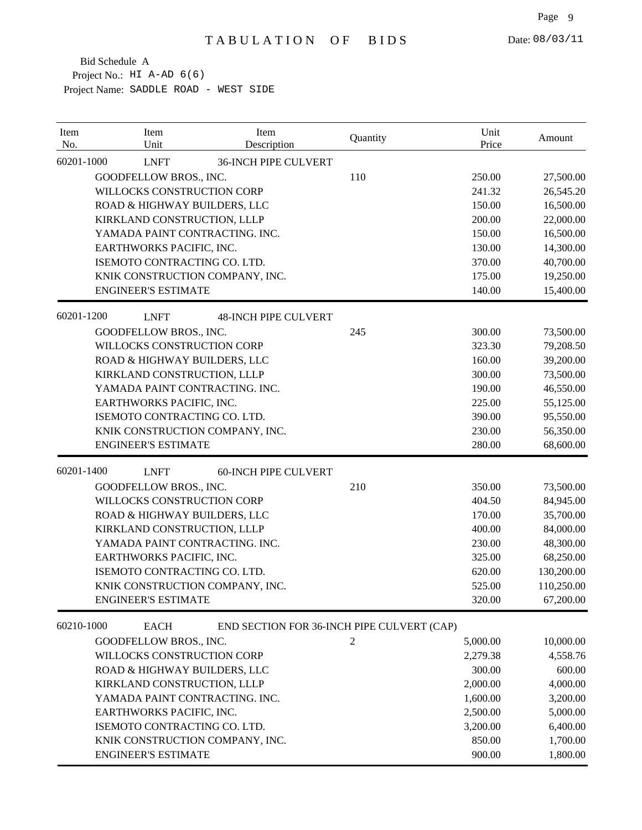| Item<br>No. | Item<br>Unit                    | Item<br>Description         | Quantity                                   | Unit<br>Price | Amount     |
|-------------|---------------------------------|-----------------------------|--------------------------------------------|---------------|------------|
| 60201-1000  | <b>LNFT</b>                     | <b>36-INCH PIPE CULVERT</b> |                                            |               |            |
|             | GOODFELLOW BROS., INC.          |                             | 110                                        | 250.00        | 27,500.00  |
|             | WILLOCKS CONSTRUCTION CORP      |                             |                                            | 241.32        | 26,545.20  |
|             | ROAD & HIGHWAY BUILDERS, LLC    |                             |                                            | 150.00        | 16,500.00  |
|             | KIRKLAND CONSTRUCTION, LLLP     |                             |                                            | 200.00        | 22,000.00  |
|             | YAMADA PAINT CONTRACTING. INC.  |                             |                                            | 150.00        | 16,500.00  |
|             | EARTHWORKS PACIFIC, INC.        |                             |                                            | 130.00        | 14,300.00  |
|             | ISEMOTO CONTRACTING CO. LTD.    |                             |                                            | 370.00        | 40,700.00  |
|             | KNIK CONSTRUCTION COMPANY, INC. |                             |                                            | 175.00        | 19,250.00  |
|             | <b>ENGINEER'S ESTIMATE</b>      |                             |                                            | 140.00        | 15,400.00  |
| 60201-1200  | <b>LNFT</b>                     | <b>48-INCH PIPE CULVERT</b> |                                            |               |            |
|             | GOODFELLOW BROS., INC.          |                             | 245                                        | 300.00        | 73,500.00  |
|             | WILLOCKS CONSTRUCTION CORP      |                             |                                            | 323.30        | 79,208.50  |
|             | ROAD & HIGHWAY BUILDERS, LLC    |                             |                                            | 160.00        | 39,200.00  |
|             | KIRKLAND CONSTRUCTION, LLLP     |                             |                                            | 300.00        | 73,500.00  |
|             | YAMADA PAINT CONTRACTING. INC.  |                             |                                            | 190.00        | 46,550.00  |
|             | EARTHWORKS PACIFIC, INC.        |                             |                                            | 225.00        | 55,125.00  |
|             | ISEMOTO CONTRACTING CO. LTD.    |                             |                                            | 390.00        | 95,550.00  |
|             | KNIK CONSTRUCTION COMPANY, INC. |                             |                                            | 230.00        | 56,350.00  |
|             | <b>ENGINEER'S ESTIMATE</b>      |                             |                                            | 280.00        | 68,600.00  |
| 60201-1400  | <b>LNFT</b>                     | <b>60-INCH PIPE CULVERT</b> |                                            |               |            |
|             | GOODFELLOW BROS., INC.          |                             | 210                                        | 350.00        | 73,500.00  |
|             | WILLOCKS CONSTRUCTION CORP      |                             |                                            | 404.50        | 84,945.00  |
|             | ROAD & HIGHWAY BUILDERS, LLC    |                             |                                            | 170.00        | 35,700.00  |
|             | KIRKLAND CONSTRUCTION, LLLP     |                             |                                            | 400.00        | 84,000.00  |
|             | YAMADA PAINT CONTRACTING. INC.  |                             |                                            | 230.00        | 48,300.00  |
|             | EARTHWORKS PACIFIC, INC.        |                             |                                            | 325.00        | 68,250.00  |
|             | ISEMOTO CONTRACTING CO. LTD.    |                             |                                            | 620.00        | 130,200.00 |
|             | KNIK CONSTRUCTION COMPANY, INC. |                             |                                            | 525.00        | 110,250.00 |
|             | <b>ENGINEER'S ESTIMATE</b>      |                             |                                            | 320.00        | 67,200.00  |
| 60210-1000  | <b>EACH</b>                     |                             | END SECTION FOR 36-INCH PIPE CULVERT (CAP) |               |            |
|             | GOODFELLOW BROS., INC.          |                             | $\overline{c}$                             | 5,000.00      | 10,000.00  |
|             | WILLOCKS CONSTRUCTION CORP      |                             |                                            | 2,279.38      | 4,558.76   |
|             | ROAD & HIGHWAY BUILDERS, LLC    |                             |                                            | 300.00        | 600.00     |
|             | KIRKLAND CONSTRUCTION, LLLP     |                             |                                            | 2,000.00      | 4,000.00   |
|             | YAMADA PAINT CONTRACTING. INC.  |                             |                                            | 1,600.00      | 3,200.00   |
|             | EARTHWORKS PACIFIC, INC.        |                             |                                            | 2,500.00      | 5,000.00   |
|             | ISEMOTO CONTRACTING CO. LTD.    |                             |                                            | 3,200.00      | 6,400.00   |
|             | KNIK CONSTRUCTION COMPANY, INC. |                             |                                            | 850.00        | 1,700.00   |
|             | <b>ENGINEER'S ESTIMATE</b>      |                             |                                            | 900.00        | 1,800.00   |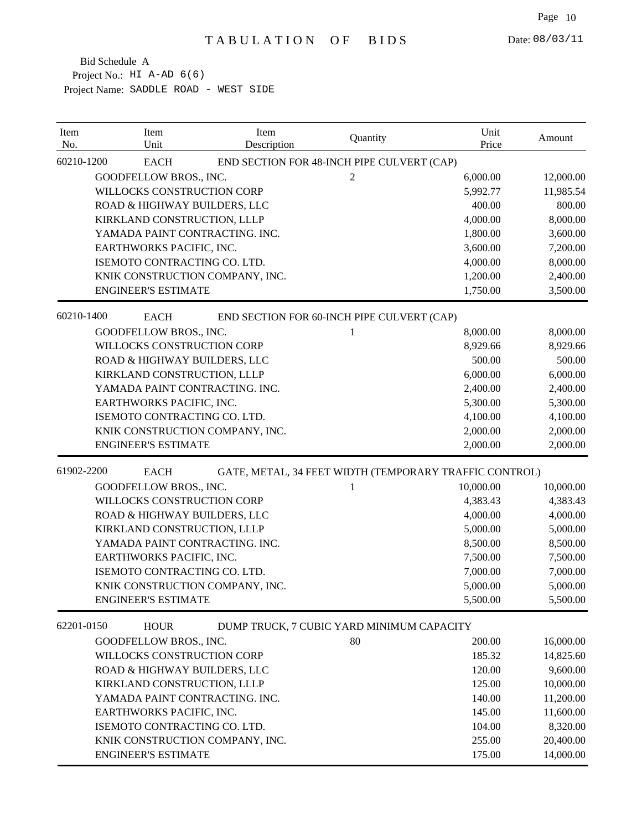| Item<br>No. | Item<br>Unit                 | Item<br>Description             | Quantity                                               | Unit<br>Price | Amount    |
|-------------|------------------------------|---------------------------------|--------------------------------------------------------|---------------|-----------|
| 60210-1200  | <b>EACH</b>                  |                                 | END SECTION FOR 48-INCH PIPE CULVERT (CAP)             |               |           |
|             | GOODFELLOW BROS., INC.       |                                 | $\overline{c}$                                         | 6,000.00      | 12,000.00 |
|             | WILLOCKS CONSTRUCTION CORP   |                                 |                                                        | 5,992.77      | 11,985.54 |
|             | ROAD & HIGHWAY BUILDERS, LLC |                                 |                                                        | 400.00        | 800.00    |
|             | KIRKLAND CONSTRUCTION, LLLP  |                                 |                                                        | 4,000.00      | 8,000.00  |
|             |                              | YAMADA PAINT CONTRACTING. INC.  |                                                        | 1,800.00      | 3,600.00  |
|             | EARTHWORKS PACIFIC, INC.     |                                 |                                                        | 3,600.00      | 7,200.00  |
|             | ISEMOTO CONTRACTING CO. LTD. |                                 |                                                        | 4,000.00      | 8,000.00  |
|             |                              | KNIK CONSTRUCTION COMPANY, INC. |                                                        | 1,200.00      | 2,400.00  |
|             | <b>ENGINEER'S ESTIMATE</b>   |                                 |                                                        | 1,750.00      | 3,500.00  |
| 60210-1400  | <b>EACH</b>                  |                                 | END SECTION FOR 60-INCH PIPE CULVERT (CAP)             |               |           |
|             | GOODFELLOW BROS., INC.       |                                 | 1                                                      | 8,000.00      | 8,000.00  |
|             | WILLOCKS CONSTRUCTION CORP   |                                 |                                                        | 8,929.66      | 8,929.66  |
|             | ROAD & HIGHWAY BUILDERS, LLC |                                 |                                                        | 500.00        | 500.00    |
|             | KIRKLAND CONSTRUCTION, LLLP  |                                 |                                                        | 6,000.00      | 6,000.00  |
|             |                              | YAMADA PAINT CONTRACTING. INC.  |                                                        | 2,400.00      | 2,400.00  |
|             | EARTHWORKS PACIFIC, INC.     |                                 |                                                        | 5,300.00      | 5,300.00  |
|             | ISEMOTO CONTRACTING CO. LTD. |                                 |                                                        | 4,100.00      | 4,100.00  |
|             |                              | KNIK CONSTRUCTION COMPANY, INC. |                                                        | 2,000.00      | 2,000.00  |
|             | <b>ENGINEER'S ESTIMATE</b>   |                                 |                                                        | 2,000.00      | 2,000.00  |
| 61902-2200  | <b>EACH</b>                  |                                 | GATE, METAL, 34 FEET WIDTH (TEMPORARY TRAFFIC CONTROL) |               |           |
|             | GOODFELLOW BROS., INC.       |                                 | 1                                                      | 10,000.00     | 10,000.00 |
|             | WILLOCKS CONSTRUCTION CORP   |                                 |                                                        | 4,383.43      | 4,383.43  |
|             | ROAD & HIGHWAY BUILDERS, LLC |                                 |                                                        | 4,000.00      | 4,000.00  |
|             | KIRKLAND CONSTRUCTION, LLLP  |                                 |                                                        | 5,000.00      | 5,000.00  |
|             |                              | YAMADA PAINT CONTRACTING. INC.  |                                                        | 8,500.00      | 8,500.00  |
|             | EARTHWORKS PACIFIC, INC.     |                                 |                                                        | 7,500.00      | 7,500.00  |
|             | ISEMOTO CONTRACTING CO. LTD. |                                 |                                                        | 7,000.00      | 7,000.00  |
|             |                              | KNIK CONSTRUCTION COMPANY, INC. |                                                        | 5,000.00      | 5,000.00  |
|             | <b>ENGINEER'S ESTIMATE</b>   |                                 |                                                        | 5,500.00      | 5,500.00  |
| 62201-0150  | <b>HOUR</b>                  |                                 | DUMP TRUCK, 7 CUBIC YARD MINIMUM CAPACITY              |               |           |
|             | GOODFELLOW BROS., INC.       |                                 | 80                                                     | 200.00        | 16,000.00 |
|             | WILLOCKS CONSTRUCTION CORP   |                                 |                                                        | 185.32        | 14,825.60 |
|             | ROAD & HIGHWAY BUILDERS, LLC |                                 |                                                        | 120.00        | 9,600.00  |
|             | KIRKLAND CONSTRUCTION, LLLP  |                                 |                                                        | 125.00        | 10,000.00 |
|             |                              | YAMADA PAINT CONTRACTING. INC.  |                                                        | 140.00        | 11,200.00 |
|             | EARTHWORKS PACIFIC, INC.     |                                 |                                                        | 145.00        | 11,600.00 |
|             | ISEMOTO CONTRACTING CO. LTD. |                                 |                                                        | 104.00        | 8,320.00  |
|             |                              | KNIK CONSTRUCTION COMPANY, INC. |                                                        | 255.00        | 20,400.00 |
|             | <b>ENGINEER'S ESTIMATE</b>   |                                 |                                                        | 175.00        | 14,000.00 |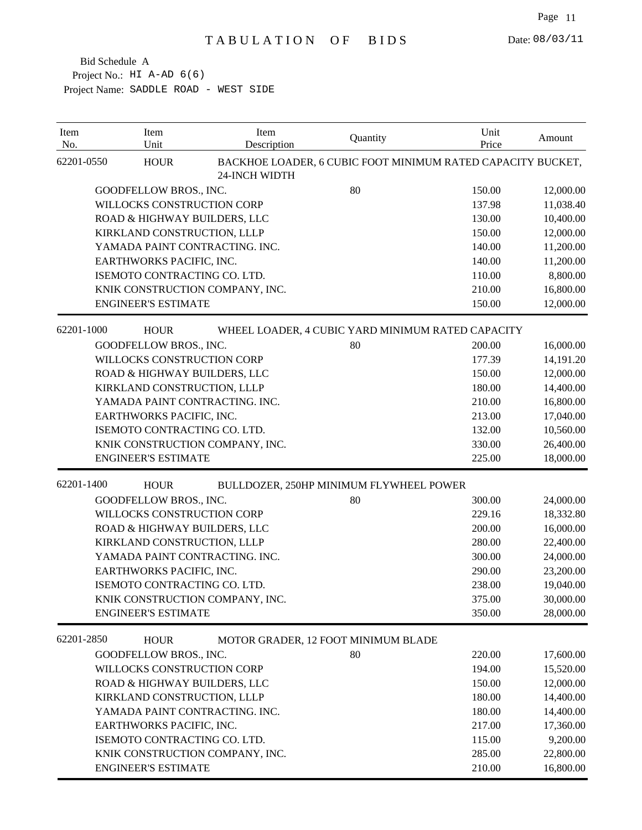| Item<br>No.                | Item<br>Unit                 | Item<br>Description             | Quantity                                                    | Unit<br>Price | Amount    |
|----------------------------|------------------------------|---------------------------------|-------------------------------------------------------------|---------------|-----------|
| 62201-0550                 | <b>HOUR</b>                  | 24-INCH WIDTH                   | BACKHOE LOADER, 6 CUBIC FOOT MINIMUM RATED CAPACITY BUCKET, |               |           |
|                            | GOODFELLOW BROS., INC.       |                                 | 80                                                          | 150.00        | 12,000.00 |
| WILLOCKS CONSTRUCTION CORP |                              |                                 | 137.98                                                      | 11,038.40     |           |
|                            | ROAD & HIGHWAY BUILDERS, LLC |                                 |                                                             | 130.00        | 10,400.00 |
|                            | KIRKLAND CONSTRUCTION, LLLP  |                                 |                                                             | 150.00        | 12,000.00 |
|                            |                              | YAMADA PAINT CONTRACTING. INC.  |                                                             | 140.00        | 11,200.00 |
|                            | EARTHWORKS PACIFIC, INC.     |                                 |                                                             | 140.00        | 11,200.00 |
|                            | ISEMOTO CONTRACTING CO. LTD. |                                 |                                                             | 110.00        | 8,800.00  |
|                            |                              | KNIK CONSTRUCTION COMPANY, INC. |                                                             | 210.00        | 16,800.00 |
|                            | <b>ENGINEER'S ESTIMATE</b>   |                                 |                                                             | 150.00        | 12,000.00 |
| 62201-1000                 | <b>HOUR</b>                  |                                 | WHEEL LOADER, 4 CUBIC YARD MINIMUM RATED CAPACITY           |               |           |
|                            | GOODFELLOW BROS., INC.       |                                 | 80                                                          | 200.00        | 16,000.00 |
|                            | WILLOCKS CONSTRUCTION CORP   |                                 |                                                             | 177.39        | 14,191.20 |
|                            | ROAD & HIGHWAY BUILDERS, LLC |                                 |                                                             | 150.00        | 12,000.00 |
|                            | KIRKLAND CONSTRUCTION, LLLP  |                                 |                                                             | 180.00        | 14,400.00 |
|                            |                              | YAMADA PAINT CONTRACTING. INC.  |                                                             | 210.00        | 16,800.00 |
|                            | EARTHWORKS PACIFIC, INC.     |                                 |                                                             | 213.00        | 17,040.00 |
|                            | ISEMOTO CONTRACTING CO. LTD. |                                 |                                                             | 132.00        | 10,560.00 |
|                            |                              | KNIK CONSTRUCTION COMPANY, INC. |                                                             | 330.00        | 26,400.00 |
| <b>ENGINEER'S ESTIMATE</b> |                              |                                 |                                                             | 225.00        | 18,000.00 |
| 62201-1400                 | <b>HOUR</b>                  |                                 | BULLDOZER, 250HP MINIMUM FLYWHEEL POWER                     |               |           |
|                            | GOODFELLOW BROS., INC.       |                                 | 80                                                          | 300.00        | 24,000.00 |
|                            | WILLOCKS CONSTRUCTION CORP   |                                 |                                                             | 229.16        | 18,332.80 |
|                            | ROAD & HIGHWAY BUILDERS, LLC |                                 |                                                             | 200.00        | 16,000.00 |
|                            | KIRKLAND CONSTRUCTION, LLLP  |                                 |                                                             | 280.00        | 22,400.00 |
|                            |                              | YAMADA PAINT CONTRACTING. INC.  |                                                             | 300.00        | 24,000.00 |
|                            | EARTHWORKS PACIFIC, INC.     |                                 |                                                             | 290.00        | 23,200.00 |
|                            | ISEMOTO CONTRACTING CO. LTD. |                                 |                                                             | 238.00        | 19,040.00 |
|                            |                              | KNIK CONSTRUCTION COMPANY, INC. |                                                             | 375.00        | 30,000.00 |
|                            | <b>ENGINEER'S ESTIMATE</b>   |                                 |                                                             | 350.00        | 28,000.00 |
| 62201-2850                 | <b>HOUR</b>                  |                                 | MOTOR GRADER, 12 FOOT MINIMUM BLADE                         |               |           |
|                            | GOODFELLOW BROS., INC.       |                                 | 80                                                          | 220.00        | 17,600.00 |
|                            | WILLOCKS CONSTRUCTION CORP   |                                 |                                                             | 194.00        | 15,520.00 |
|                            | ROAD & HIGHWAY BUILDERS, LLC |                                 |                                                             | 150.00        | 12,000.00 |
|                            | KIRKLAND CONSTRUCTION, LLLP  |                                 |                                                             | 180.00        | 14,400.00 |
|                            |                              | YAMADA PAINT CONTRACTING. INC.  |                                                             | 180.00        | 14,400.00 |
|                            | EARTHWORKS PACIFIC, INC.     |                                 |                                                             | 217.00        | 17,360.00 |
|                            | ISEMOTO CONTRACTING CO. LTD. |                                 |                                                             | 115.00        | 9,200.00  |
|                            |                              | KNIK CONSTRUCTION COMPANY, INC. |                                                             | 285.00        | 22,800.00 |
|                            | <b>ENGINEER'S ESTIMATE</b>   |                                 |                                                             | 210.00        | 16,800.00 |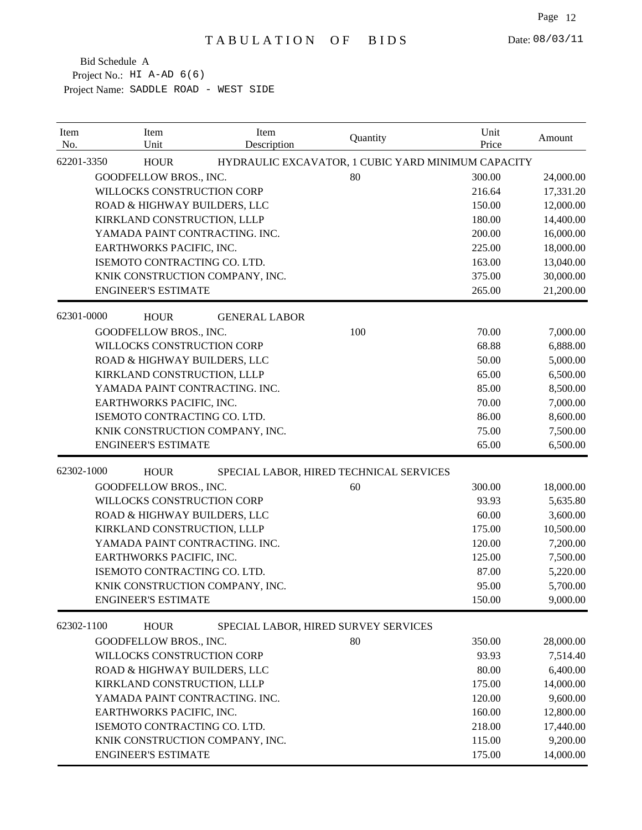| Item<br>No. | Item<br>Unit                    | Item<br>Description  | Quantity                                           | Unit<br>Price | Amount    |
|-------------|---------------------------------|----------------------|----------------------------------------------------|---------------|-----------|
| 62201-3350  | <b>HOUR</b>                     |                      | HYDRAULIC EXCAVATOR, 1 CUBIC YARD MINIMUM CAPACITY |               |           |
|             | GOODFELLOW BROS., INC.          |                      | 80                                                 | 300.00        | 24,000.00 |
|             | WILLOCKS CONSTRUCTION CORP      |                      |                                                    | 216.64        | 17,331.20 |
|             | ROAD & HIGHWAY BUILDERS, LLC    |                      |                                                    | 150.00        | 12,000.00 |
|             | KIRKLAND CONSTRUCTION, LLLP     |                      |                                                    | 180.00        | 14,400.00 |
|             | YAMADA PAINT CONTRACTING. INC.  |                      |                                                    | 200.00        | 16,000.00 |
|             | EARTHWORKS PACIFIC, INC.        |                      |                                                    | 225.00        | 18,000.00 |
|             | ISEMOTO CONTRACTING CO. LTD.    |                      |                                                    | 163.00        | 13,040.00 |
|             | KNIK CONSTRUCTION COMPANY, INC. |                      |                                                    | 375.00        | 30,000.00 |
|             | <b>ENGINEER'S ESTIMATE</b>      |                      |                                                    | 265.00        | 21,200.00 |
| 62301-0000  | <b>HOUR</b>                     | <b>GENERAL LABOR</b> |                                                    |               |           |
|             | GOODFELLOW BROS., INC.          |                      | 100                                                | 70.00         | 7,000.00  |
|             | WILLOCKS CONSTRUCTION CORP      |                      |                                                    | 68.88         | 6,888.00  |
|             | ROAD & HIGHWAY BUILDERS, LLC    |                      |                                                    | 50.00         | 5,000.00  |
|             | KIRKLAND CONSTRUCTION, LLLP     |                      |                                                    | 65.00         | 6,500.00  |
|             | YAMADA PAINT CONTRACTING. INC.  |                      |                                                    | 85.00         | 8,500.00  |
|             | EARTHWORKS PACIFIC, INC.        |                      |                                                    | 70.00         | 7,000.00  |
|             | ISEMOTO CONTRACTING CO. LTD.    |                      |                                                    | 86.00         | 8,600.00  |
|             | KNIK CONSTRUCTION COMPANY, INC. |                      |                                                    | 75.00         | 7,500.00  |
|             | <b>ENGINEER'S ESTIMATE</b>      |                      |                                                    | 65.00         | 6,500.00  |
| 62302-1000  | <b>HOUR</b>                     |                      | SPECIAL LABOR, HIRED TECHNICAL SERVICES            |               |           |
|             | GOODFELLOW BROS., INC.          |                      | 60                                                 | 300.00        | 18,000.00 |
|             | WILLOCKS CONSTRUCTION CORP      |                      |                                                    | 93.93         | 5,635.80  |
|             | ROAD & HIGHWAY BUILDERS, LLC    |                      |                                                    | 60.00         | 3,600.00  |
|             | KIRKLAND CONSTRUCTION, LLLP     |                      |                                                    | 175.00        | 10,500.00 |
|             | YAMADA PAINT CONTRACTING. INC.  |                      |                                                    | 120.00        | 7,200.00  |
|             | EARTHWORKS PACIFIC, INC.        |                      |                                                    | 125.00        | 7,500.00  |
|             | ISEMOTO CONTRACTING CO. LTD.    |                      |                                                    | 87.00         | 5,220.00  |
|             | KNIK CONSTRUCTION COMPANY, INC. |                      |                                                    | 95.00         | 5,700.00  |
|             | <b>ENGINEER'S ESTIMATE</b>      |                      |                                                    | 150.00        | 9,000.00  |
| 62302-1100  | <b>HOUR</b>                     |                      | SPECIAL LABOR, HIRED SURVEY SERVICES               |               |           |
|             | GOODFELLOW BROS., INC.          |                      | 80                                                 | 350.00        | 28,000.00 |
|             | WILLOCKS CONSTRUCTION CORP      |                      |                                                    | 93.93         | 7,514.40  |
|             | ROAD & HIGHWAY BUILDERS, LLC    |                      |                                                    | 80.00         | 6,400.00  |
|             | KIRKLAND CONSTRUCTION, LLLP     |                      |                                                    | 175.00        | 14,000.00 |
|             | YAMADA PAINT CONTRACTING. INC.  |                      |                                                    | 120.00        | 9,600.00  |
|             | EARTHWORKS PACIFIC, INC.        |                      |                                                    | 160.00        | 12,800.00 |
|             | ISEMOTO CONTRACTING CO. LTD.    |                      |                                                    | 218.00        | 17,440.00 |
|             | KNIK CONSTRUCTION COMPANY, INC. |                      |                                                    | 115.00        | 9,200.00  |
|             | <b>ENGINEER'S ESTIMATE</b>      |                      |                                                    | 175.00        | 14,000.00 |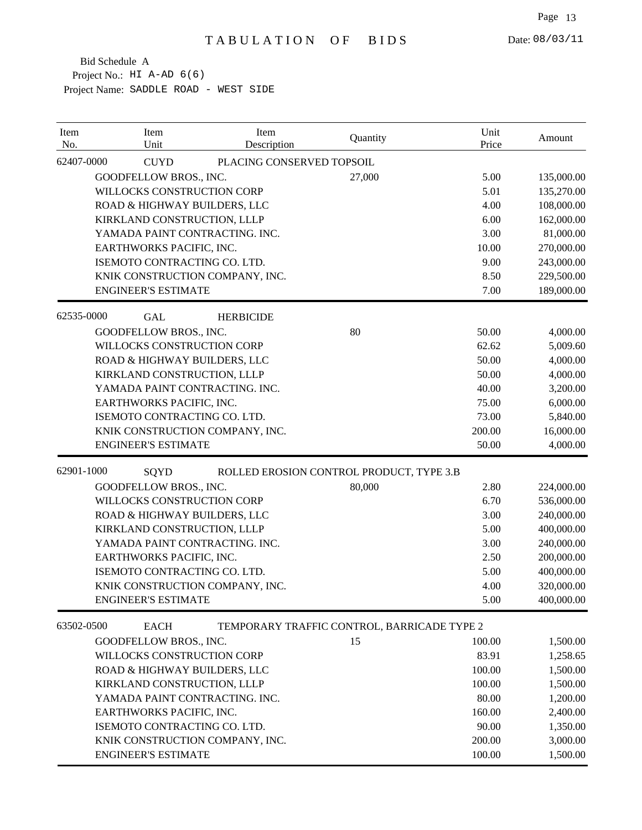| Item<br>Item<br>Unit<br>No. | Item<br>Description             | Quantity                                    | Unit<br>Price | Amount     |
|-----------------------------|---------------------------------|---------------------------------------------|---------------|------------|
| 62407-0000<br><b>CUYD</b>   | PLACING CONSERVED TOPSOIL       |                                             |               |            |
| GOODFELLOW BROS., INC.      |                                 | 27,000                                      | 5.00          | 135,000.00 |
|                             | WILLOCKS CONSTRUCTION CORP      |                                             | 5.01          | 135,270.00 |
|                             | ROAD & HIGHWAY BUILDERS, LLC    |                                             | 4.00          | 108,000.00 |
|                             | KIRKLAND CONSTRUCTION, LLLP     |                                             | 6.00          | 162,000.00 |
|                             | YAMADA PAINT CONTRACTING. INC.  |                                             | 3.00          | 81,000.00  |
| EARTHWORKS PACIFIC, INC.    |                                 |                                             | 10.00         | 270,000.00 |
|                             | ISEMOTO CONTRACTING CO. LTD.    |                                             | 9.00          | 243,000.00 |
|                             | KNIK CONSTRUCTION COMPANY, INC. |                                             | 8.50          | 229,500.00 |
| <b>ENGINEER'S ESTIMATE</b>  |                                 |                                             | 7.00          | 189,000.00 |
| 62535-0000<br><b>GAL</b>    | <b>HERBICIDE</b>                |                                             |               |            |
| GOODFELLOW BROS., INC.      |                                 | 80                                          | 50.00         | 4,000.00   |
|                             | WILLOCKS CONSTRUCTION CORP      |                                             | 62.62         | 5,009.60   |
|                             | ROAD & HIGHWAY BUILDERS, LLC    |                                             | 50.00         | 4,000.00   |
|                             | KIRKLAND CONSTRUCTION, LLLP     |                                             | 50.00         | 4,000.00   |
|                             | YAMADA PAINT CONTRACTING. INC.  |                                             | 40.00         | 3,200.00   |
| EARTHWORKS PACIFIC, INC.    |                                 |                                             | 75.00         | 6,000.00   |
|                             | ISEMOTO CONTRACTING CO. LTD.    |                                             | 73.00         | 5,840.00   |
|                             | KNIK CONSTRUCTION COMPANY, INC. |                                             | 200.00        | 16,000.00  |
| <b>ENGINEER'S ESTIMATE</b>  |                                 |                                             | 50.00         | 4,000.00   |
| 62901-1000<br>SQYD          |                                 | ROLLED EROSION CONTROL PRODUCT, TYPE 3.B    |               |            |
| GOODFELLOW BROS., INC.      |                                 | 80,000                                      | 2.80          | 224,000.00 |
|                             | WILLOCKS CONSTRUCTION CORP      |                                             | 6.70          | 536,000.00 |
|                             | ROAD & HIGHWAY BUILDERS, LLC    |                                             | 3.00          | 240,000.00 |
|                             | KIRKLAND CONSTRUCTION, LLLP     |                                             | 5.00          | 400,000.00 |
|                             | YAMADA PAINT CONTRACTING. INC.  |                                             | 3.00          | 240,000.00 |
| EARTHWORKS PACIFIC, INC.    |                                 |                                             | 2.50          | 200,000.00 |
|                             | ISEMOTO CONTRACTING CO. LTD.    |                                             | 5.00          | 400,000.00 |
|                             | KNIK CONSTRUCTION COMPANY, INC. |                                             | 4.00          | 320,000.00 |
| <b>ENGINEER'S ESTIMATE</b>  |                                 |                                             | 5.00          | 400,000.00 |
| 63502-0500<br><b>EACH</b>   |                                 | TEMPORARY TRAFFIC CONTROL, BARRICADE TYPE 2 |               |            |
| GOODFELLOW BROS., INC.      |                                 | 15                                          | 100.00        | 1,500.00   |
|                             | WILLOCKS CONSTRUCTION CORP      |                                             | 83.91         | 1,258.65   |
|                             | ROAD & HIGHWAY BUILDERS, LLC    |                                             | 100.00        | 1,500.00   |
|                             | KIRKLAND CONSTRUCTION, LLLP     |                                             | 100.00        | 1,500.00   |
|                             | YAMADA PAINT CONTRACTING. INC.  |                                             | 80.00         | 1,200.00   |
| EARTHWORKS PACIFIC, INC.    |                                 |                                             | 160.00        | 2,400.00   |
|                             | ISEMOTO CONTRACTING CO. LTD.    |                                             | 90.00         | 1,350.00   |
|                             | KNIK CONSTRUCTION COMPANY, INC. |                                             | 200.00        | 3,000.00   |
| <b>ENGINEER'S ESTIMATE</b>  |                                 |                                             | 100.00        | 1,500.00   |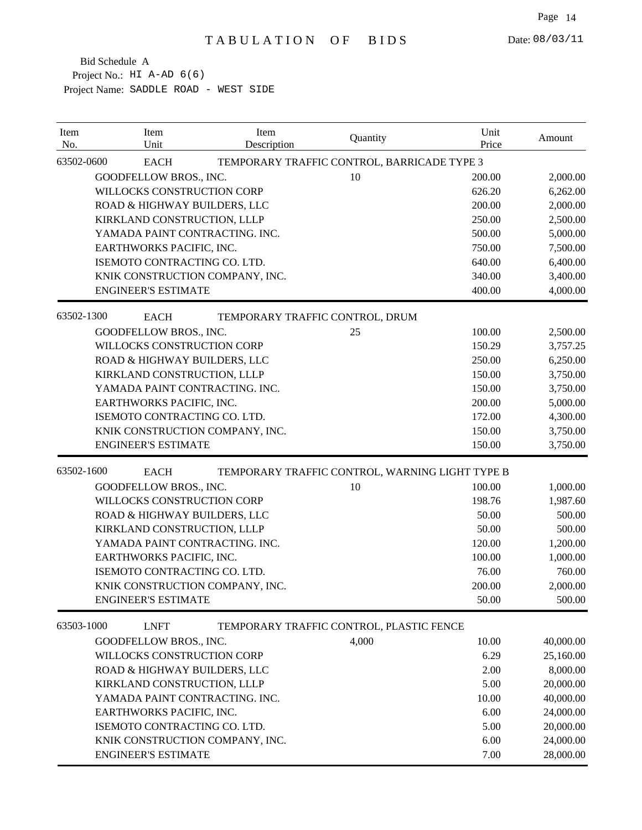| Item<br>No. | Item<br>Unit                    | Item<br>Description             | Quantity                                        | Unit<br>Price | Amount    |
|-------------|---------------------------------|---------------------------------|-------------------------------------------------|---------------|-----------|
| 63502-0600  | <b>EACH</b>                     |                                 | TEMPORARY TRAFFIC CONTROL, BARRICADE TYPE 3     |               |           |
|             | GOODFELLOW BROS., INC.          |                                 | 10                                              | 200.00        | 2,000.00  |
|             | WILLOCKS CONSTRUCTION CORP      |                                 |                                                 | 626.20        | 6,262.00  |
|             | ROAD & HIGHWAY BUILDERS, LLC    |                                 |                                                 | 200.00        | 2,000.00  |
|             | KIRKLAND CONSTRUCTION, LLLP     |                                 |                                                 | 250.00        | 2,500.00  |
|             | YAMADA PAINT CONTRACTING. INC.  |                                 |                                                 | 500.00        | 5,000.00  |
|             | EARTHWORKS PACIFIC, INC.        |                                 |                                                 | 750.00        | 7,500.00  |
|             | ISEMOTO CONTRACTING CO. LTD.    |                                 |                                                 | 640.00        | 6,400.00  |
|             | KNIK CONSTRUCTION COMPANY, INC. |                                 |                                                 | 340.00        | 3,400.00  |
|             | <b>ENGINEER'S ESTIMATE</b>      |                                 |                                                 | 400.00        | 4,000.00  |
| 63502-1300  | <b>EACH</b>                     | TEMPORARY TRAFFIC CONTROL, DRUM |                                                 |               |           |
|             | GOODFELLOW BROS., INC.          |                                 | 25                                              | 100.00        | 2,500.00  |
|             | WILLOCKS CONSTRUCTION CORP      |                                 |                                                 | 150.29        | 3,757.25  |
|             | ROAD & HIGHWAY BUILDERS, LLC    |                                 |                                                 | 250.00        | 6,250.00  |
|             | KIRKLAND CONSTRUCTION, LLLP     |                                 |                                                 | 150.00        | 3,750.00  |
|             | YAMADA PAINT CONTRACTING. INC.  |                                 |                                                 | 150.00        | 3,750.00  |
|             | EARTHWORKS PACIFIC, INC.        |                                 |                                                 | 200.00        | 5,000.00  |
|             | ISEMOTO CONTRACTING CO. LTD.    |                                 |                                                 | 172.00        | 4,300.00  |
|             | KNIK CONSTRUCTION COMPANY, INC. |                                 |                                                 | 150.00        | 3,750.00  |
|             | <b>ENGINEER'S ESTIMATE</b>      |                                 |                                                 | 150.00        | 3,750.00  |
| 63502-1600  | <b>EACH</b>                     |                                 | TEMPORARY TRAFFIC CONTROL, WARNING LIGHT TYPE B |               |           |
|             | GOODFELLOW BROS., INC.          |                                 | 10                                              | 100.00        | 1,000.00  |
|             | WILLOCKS CONSTRUCTION CORP      |                                 |                                                 | 198.76        | 1,987.60  |
|             | ROAD & HIGHWAY BUILDERS, LLC    |                                 |                                                 | 50.00         | 500.00    |
|             | KIRKLAND CONSTRUCTION, LLLP     |                                 |                                                 | 50.00         | 500.00    |
|             | YAMADA PAINT CONTRACTING. INC.  |                                 |                                                 | 120.00        | 1,200.00  |
|             | EARTHWORKS PACIFIC, INC.        |                                 |                                                 | 100.00        | 1,000.00  |
|             | ISEMOTO CONTRACTING CO. LTD.    |                                 |                                                 | 76.00         | 760.00    |
|             | KNIK CONSTRUCTION COMPANY, INC. |                                 |                                                 | 200.00        | 2,000.00  |
|             | <b>ENGINEER'S ESTIMATE</b>      |                                 |                                                 | 50.00         | 500.00    |
| 63503-1000  | <b>LNFT</b>                     |                                 | TEMPORARY TRAFFIC CONTROL, PLASTIC FENCE        |               |           |
|             | GOODFELLOW BROS., INC.          |                                 | 4,000                                           | 10.00         | 40,000.00 |
|             | WILLOCKS CONSTRUCTION CORP      |                                 |                                                 | 6.29          | 25,160.00 |
|             | ROAD & HIGHWAY BUILDERS, LLC    |                                 |                                                 | 2.00          | 8,000.00  |
|             | KIRKLAND CONSTRUCTION, LLLP     |                                 |                                                 | 5.00          | 20,000.00 |
|             | YAMADA PAINT CONTRACTING. INC.  |                                 |                                                 | 10.00         | 40,000.00 |
|             | EARTHWORKS PACIFIC, INC.        |                                 |                                                 | 6.00          | 24,000.00 |
|             | ISEMOTO CONTRACTING CO. LTD.    |                                 |                                                 | 5.00          | 20,000.00 |
|             | KNIK CONSTRUCTION COMPANY, INC. |                                 |                                                 | 6.00          | 24,000.00 |
|             | <b>ENGINEER'S ESTIMATE</b>      |                                 |                                                 | 7.00          | 28,000.00 |